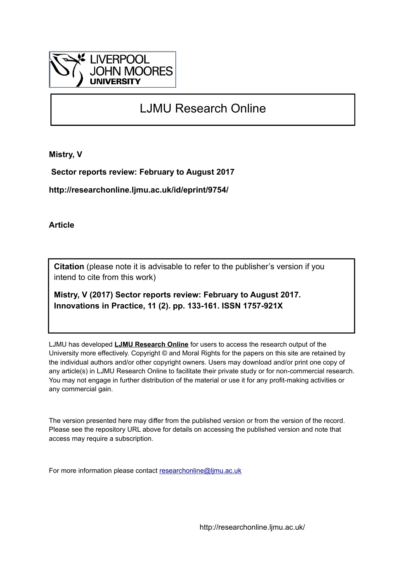

# LJMU Research Online

**Mistry, V**

 **Sector reports review: February to August 2017**

**http://researchonline.ljmu.ac.uk/id/eprint/9754/**

**Article**

**Citation** (please note it is advisable to refer to the publisher's version if you intend to cite from this work)

**Mistry, V (2017) Sector reports review: February to August 2017. Innovations in Practice, 11 (2). pp. 133-161. ISSN 1757-921X** 

LJMU has developed **[LJMU Research Online](http://researchonline.ljmu.ac.uk/)** for users to access the research output of the University more effectively. Copyright © and Moral Rights for the papers on this site are retained by the individual authors and/or other copyright owners. Users may download and/or print one copy of any article(s) in LJMU Research Online to facilitate their private study or for non-commercial research. You may not engage in further distribution of the material or use it for any profit-making activities or any commercial gain.

The version presented here may differ from the published version or from the version of the record. Please see the repository URL above for details on accessing the published version and note that access may require a subscription.

For more information please contact [researchonline@ljmu.ac.uk](mailto:researchonline@ljmu.ac.uk)

http://researchonline.ljmu.ac.uk/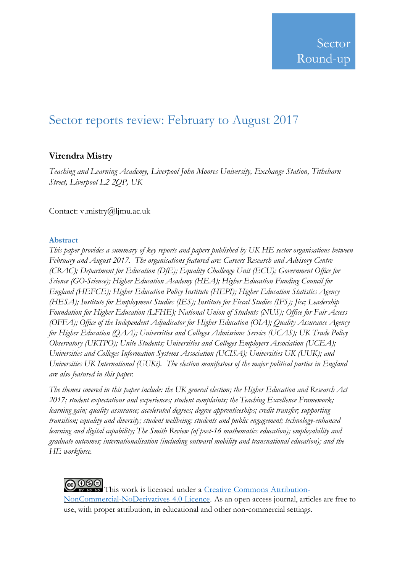# Sector reports review: February to August 2017

# **Virendra Mistry**

*Teaching and Learning Academy, Liverpool John Moores University, Exchange Station, Tithebarn Street, Liverpool L2 2QP, UK*

Contact: v.mistry@ljmu.ac.uk

## **Abstract**

*This paper provides a summary of key reports and papers published by UK HE sector organisations between February and August 2017. The organisations featured are: Careers Research and Advisory Centre (CRAC); Department for Education (DfE); Equality Challenge Unit (ECU); Government Office for Science (GO-Science); Higher Education Academy (HEA); Higher Education Funding Council for England (HEFCE); Higher Education Policy Institute (HEPI); Higher Education Statistics Agency (HESA); Institute for Employment Studies (IES); Institute for Fiscal Studies (IFS); Jisc; Leadership Foundation for Higher Education (LFHE); National Union of Students (NUS); Office for Fair Access (OFFA); Office of the Independent Adjudicator for Higher Education (OIA); Quality Assurance Agency for Higher Education (QAA); Universities and Colleges Admissions Service (UCAS); UK Trade Policy Observatory (UKTPO); Unite Students; Universities and Colleges Employers Association (UCEA); Universities and Colleges Information Systems Association (UCISA); Universities UK (UUK); and Universities UK International (UUKi). The election manifestoes of the major political parties in England are also featured in this paper.*

*The themes covered in this paper include: the UK general election; the Higher Education and Research Act 2017; student expectations and experiences; student complaints; the Teaching Excellence Framework; learning gain; quality assurance; accelerated degrees; degree apprenticeships; credit transfer; supporting transition; equality and diversity; student wellbeing; students and public engagement; technology-enhanced learning and digital capability; The Smith Review (of post-16 mathematics education); employability and graduate outcomes; internationalisation (including outward mobility and transnational education); and the HE workforce.* 

COOSO This work is licensed under a Creative Commons [Attribution-](http://creativecommons.org/licenses/by-nc-nd/4.0/)[NonCommercial-NoDerivatives](http://creativecommons.org/licenses/by-nc-nd/4.0/) 4.0 Licence. As an open access journal, articles are free to use, with proper attribution, in educational and other non‐commercial settings.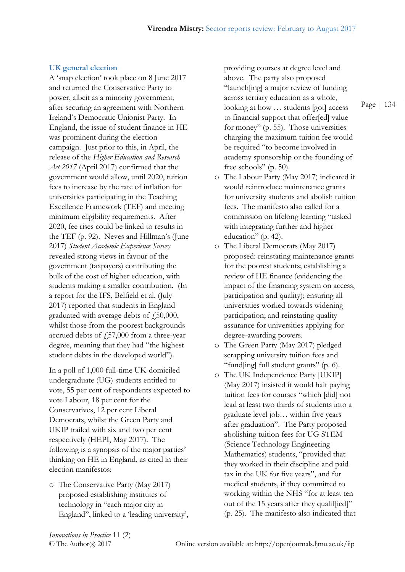#### **UK general election**

A 'snap election' took place on 8 June 2017 and returned the Conservative Party to power, albeit as a minority government, after securing an agreement with Northern Ireland's Democratic Unionist Party. In England, the issue of student finance in HE was prominent during the election campaign. Just prior to this, in April, the release of the *Higher Education and Research Act 2017* (April 2017) confirmed that the government would allow, until 2020, tuition fees to increase by the rate of inflation for universities participating in the Teaching Excellence Framework (TEF) and meeting minimum eligibility requirements. After 2020, fee rises could be linked to results in the TEF (p. 92). Neves and Hillman's (June 2017) *Student Academic Experience Survey* revealed strong views in favour of the government (taxpayers) contributing the bulk of the cost of higher education, with students making a smaller contribution. (In a report for the IFS, Belfield et al. (July 2017) reported that students in England graduated with average debts of  $f$ , 50,000, whilst those from the poorest backgrounds accrued debts of  $f_{15}$ 7,000 from a three-year degree, meaning that they had "the highest student debts in the developed world").

In a poll of 1,000 full-time UK-domiciled undergraduate (UG) students entitled to vote, 55 per cent of respondents expected to vote Labour, 18 per cent for the Conservatives, 12 per cent Liberal Democrats, whilst the Green Party and UKIP trailed with six and two per cent respectively (HEPI, May 2017). The following is a synopsis of the major parties' thinking on HE in England, as cited in their election manifestos:

o The Conservative Party (May 2017) proposed establishing institutes of technology in "each major city in England", linked to a 'leading university', providing courses at degree level and above. The party also proposed "launch[ing] a major review of funding across tertiary education as a whole, looking at how … students [got] access to financial support that offer[ed] value for money" (p. 55). Those universities charging the maximum tuition fee would be required "to become involved in academy sponsorship or the founding of free schools" (p. 50).

- o The Labour Party (May 2017) indicated it would reintroduce maintenance grants for university students and abolish tuition fees. The manifesto also called for a commission on lifelong learning "tasked with integrating further and higher education" (p. 42).
- o The Liberal Democrats (May 2017) proposed: reinstating maintenance grants for the poorest students; establishing a review of HE finance (evidencing the impact of the financing system on access, participation and quality); ensuring all universities worked towards widening participation; and reinstating quality assurance for universities applying for degree-awarding powers.
- o The Green Party (May 2017) pledged scrapping university tuition fees and "fund[ing] full student grants" (p. 6).
- o The UK Independence Party [UKIP] (May 2017) insisted it would halt paying tuition fees for courses "which [did] not lead at least two thirds of students into a graduate level job… within five years after graduation". The Party proposed abolishing tuition fees for UG STEM (Science Technology Engineering Mathematics) students, "provided that they worked in their discipline and paid tax in the UK for five years", and for medical students, if they committed to working within the NHS "for at least ten out of the 15 years after they qualif[ied]" (p. 25). The manifesto also indicated that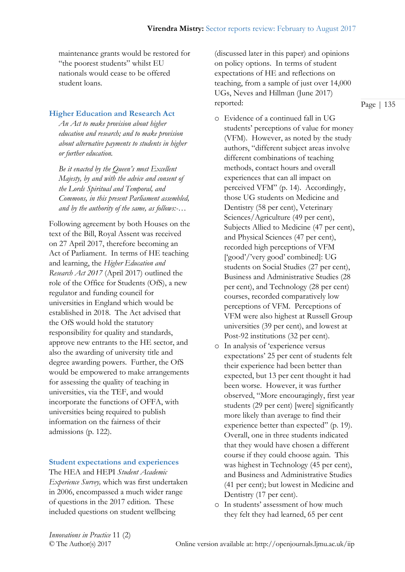maintenance grants would be restored for "the poorest students" whilst EU nationals would cease to be offered student loans.

# **Higher Education and Research Act**

*An Act to make provision about higher education and research; and to make provision about alternative payments to students in higher or further education.*

*Be it enacted by the Queen's most Excellent Majesty, by and with the advice and consent of the Lords Spiritual and Temporal, and Commons, in this present Parliament assembled, and by the authority of the same, as follows:-…*

Following agreement by both Houses on the text of the Bill, Royal Assent was received on 27 April 2017, therefore becoming an Act of Parliament. In terms of HE teaching and learning, the *Higher Education and Research Act 2017* (April 2017) outlined the role of the Office for Students (OfS), a new regulator and funding council for universities in England which would be established in 2018. The Act advised that the OfS would hold the statutory responsibility for quality and standards, approve new entrants to the HE sector, and also the awarding of university title and degree awarding powers. Further, the OfS would be empowered to make arrangements for assessing the quality of teaching in universities, via the TEF, and would incorporate the functions of OFFA, with universities being required to publish information on the fairness of their admissions (p. 122).

#### **Student expectations and experiences**

The HEA and HEPI *Student Academic Experience Survey,* which was first undertaken in 2006, encompassed a much wider range of questions in the 2017 edition. These included questions on student wellbeing

(discussed later in this paper) and opinions on policy options. In terms of student expectations of HE and reflections on teaching, from a sample of just over 14,000 UGs, Neves and Hillman (June 2017) reported:

- o Evidence of a continued fall in UG students' perceptions of value for money (VFM). However, as noted by the study authors, "different subject areas involve different combinations of teaching methods, contact hours and overall experiences that can all impact on perceived VFM" (p. 14). Accordingly, those UG students on Medicine and Dentistry (58 per cent), Veterinary Sciences/Agriculture (49 per cent), Subjects Allied to Medicine (47 per cent), and Physical Sciences (47 per cent), recorded high perceptions of VFM ['good'/'very good' combined]: UG students on Social Studies (27 per cent), Business and Administrative Studies (28 per cent), and Technology (28 per cent) courses, recorded comparatively low perceptions of VFM. Perceptions of VFM were also highest at Russell Group universities (39 per cent), and lowest at Post-92 institutions (32 per cent).
- o In analysis of 'experience versus expectations' 25 per cent of students felt their experience had been better than expected, but 13 per cent thought it had been worse. However, it was further observed, "More encouragingly, first year students (29 per cent) [were] significantly more likely than average to find their experience better than expected" (p. 19). Overall, one in three students indicated that they would have chosen a different course if they could choose again. This was highest in Technology (45 per cent), and Business and Administrative Studies (41 per cent); but lowest in Medicine and Dentistry (17 per cent).
- o In students' assessment of how much they felt they had learned, 65 per cent

*Innovations in Practice* 11 (2)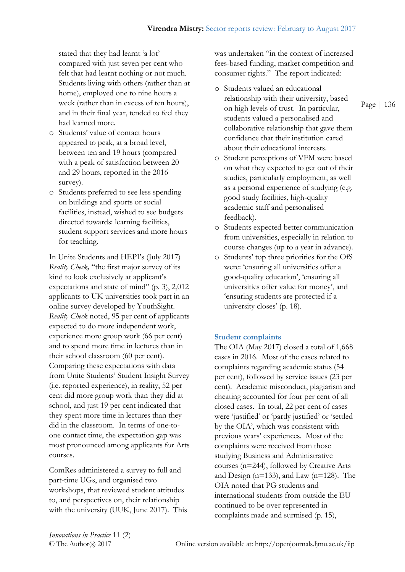stated that they had learnt 'a lot' compared with just seven per cent who felt that had learnt nothing or not much. Students living with others (rather than at home), employed one to nine hours a week (rather than in excess of ten hours), and in their final year, tended to feel they had learned more.

- o Students' value of contact hours appeared to peak, at a broad level, between ten and 19 hours (compared with a peak of satisfaction between 20 and 29 hours, reported in the 2016 survey).
- o Students preferred to see less spending on buildings and sports or social facilities, instead, wished to see budgets directed towards: learning facilities, student support services and more hours for teaching.

In Unite Students and HEPI's (July 2017) *Reality Check,* "the first major survey of its kind to look exclusively at applicant's expectations and state of mind" (p. 3), 2,012 applicants to UK universities took part in an online survey developed by YouthSight. *Reality Check* noted, 95 per cent of applicants expected to do more independent work, experience more group work (66 per cent) and to spend more time in lectures than in their school classroom (60 per cent). Comparing these expectations with data from Unite Students' Student Insight Survey (i.e. reported experience), in reality, 52 per cent did more group work than they did at school, and just 19 per cent indicated that they spent more time in lectures than they did in the classroom. In terms of one-toone contact time, the expectation gap was most pronounced among applicants for Arts courses.

ComRes administered a survey to full and part-time UGs, and organised two workshops, that reviewed student attitudes to, and perspectives on, their relationship with the university (UUK, June 2017). This was undertaken "in the context of increased fees-based funding, market competition and consumer rights." The report indicated:

- o Students valued an educational relationship with their university, based on high levels of trust. In particular, students valued a personalised and collaborative relationship that gave them confidence that their institution cared about their educational interests.
- o Student perceptions of VFM were based on what they expected to get out of their studies, particularly employment, as well as a personal experience of studying (e.g. good study facilities, high-quality academic staff and personalised feedback).
- o Students expected better communication from universities, especially in relation to course changes (up to a year in advance).
- o Students' top three priorities for the OfS were: 'ensuring all universities offer a good-quality education', 'ensuring all universities offer value for money', and 'ensuring students are protected if a university closes' (p. 18).

## **Student complaints**

The OIA (May 2017) closed a total of 1,668 cases in 2016. Most of the cases related to complaints regarding academic status (54 per cent), followed by service issues (23 per cent). Academic misconduct, plagiarism and cheating accounted for four per cent of all closed cases. In total, 22 per cent of cases were 'justified' or 'partly justified' or 'settled by the OIA', which was consistent with previous years' experiences. Most of the complaints were received from those studying Business and Administrative courses (n=244), followed by Creative Arts and Design (n=133), and Law (n=128). The OIA noted that PG students and international students from outside the EU continued to be over represented in complaints made and surmised (p. 15),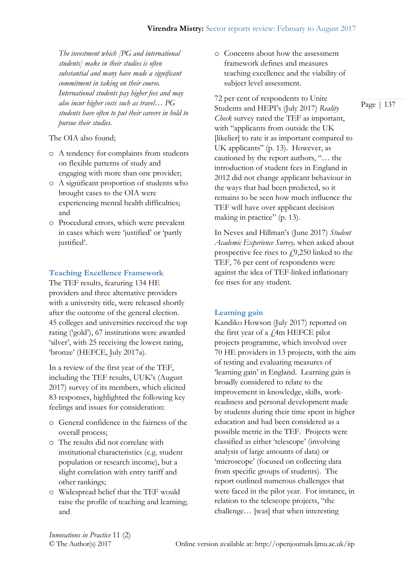*The investment which [PG and international students] make in their studies is often substantial and many have made a significant commitment in taking on their course. International students pay higher fees and may also incur higher costs such as travel… PG students have often to put their careers in hold to pursue their studies.* 

The OIA also found;

- o A tendency for complaints from students on flexible patterns of study and engaging with more than one provider;
- o A significant proportion of students who brought cases to the OIA were experiencing mental health difficulties; and
- o Procedural errors, which were prevalent in cases which were 'justified' or 'partly justified'.

## **Teaching Excellence Framework**

The TEF results, featuring 134 HE providers and three alternative providers with a university title, were released shortly after the outcome of the general election. 45 colleges and universities received the top rating ('gold'), 67 institutions were awarded 'silver', with 25 receiving the lowest rating, 'bronze' (HEFCE, July 2017a).

In a review of the first year of the TEF, including the TEF results, UUK's (August 2017) survey of its members, which elicited 83 responses, highlighted the following key feelings and issues for consideration:

- o General confidence in the fairness of the overall process;
- o The results did not correlate with institutional characteristics (e.g. student population or research income), but a slight correlation with entry tariff and other rankings;
- o Widespread belief that the TEF would raise the profile of teaching and learning; and

o Concerns about how the assessment framework defines and measures teaching excellence and the viability of subject level assessment.

72 per cent of respondents to Unite Students and HEPI's (July 2017) *Reality Check* survey rated the TEF as important, with "applicants from outside the UK [likelier] to rate it as important compared to UK applicants" (p. 13). However, as cautioned by the report authors, "… the introduction of student fees in England in 2012 did not change applicant behaviour in the ways that had been predicted, so it remains to be seen how much influence the TEF will have over applicant decision making in practice" (p. 13).

In Neves and Hillman's (June 2017) *Student Academic Experience Survey,* when asked about prospective fee rises to  $f$ 9,250 linked to the TEF, 76 per cent of respondents were against the idea of TEF-linked inflationary fee rises for any student.

#### **Learning gain**

Kandiko Howson (July 2017) reported on the first year of a  $\angle$ 4m HEFCE pilot projects programme, which involved over 70 HE providers in 13 projects, with the aim of testing and evaluating measures of 'learning gain' in England. Learning gain is broadly considered to relate to the improvement in knowledge, skills, workreadiness and personal development made by students during their time spent in higher education and had been considered as a possible metric in the TEF. Projects were classified as either 'telescope' (involving analysis of large amounts of data) or 'microscope' (focused on collecting data from specific groups of students). The report outlined numerous challenges that were faced in the pilot year. For instance, in relation to the telescope projects, "the challenge… [was] that when interesting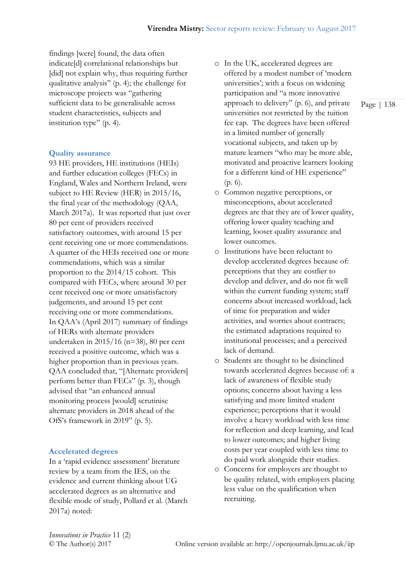findings [were] found, the data often indicate[d] correlational relationships but [did] not explain why, thus requiring further qualitative analysis" (p. 4); the challenge for microscope projects was "gathering sufficient data to be generalisable across student characteristics, subjects and institution type" (p. 4).

#### **Quality assurance**

93 HE providers, HE institutions (HEIs) and further education colleges (FECs) in England, Wales and Northern Ireland, were subject to HE Review (HER) in 2015/16, the final year of the methodology (QAA, March 2017a). It was reported that just over 80 per cent of providers received satisfactory outcomes, with around 15 per cent receiving one or more commendations. A quarter of the HEIs received one or more commendations, which was a similar proportion to the 2014/15 cohort. This compared with FECs, where around 30 per cent received one or more unsatisfactory judgements, and around 15 per cent receiving one or more commendations. In QAA's (April 2017) summary of findings of HERs with alternate providers undertaken in 2015/16 (n=38), 80 per cent received a positive outcome, which was a higher proportion than in previous years. QAA concluded that, "[Alternate providers] perform better than FECs" (p. 3), though advised that "an enhanced annual monitoring process [would] scrutinise alternate providers in 2018 ahead of the OfS's framework in 2019" (p. 5).

#### **Accelerated degrees**

In a 'rapid evidence assessment' literature review by a team from the IES, on the evidence and current thinking about UG accelerated degrees as an alternative and flexible mode of study, Pollard et al. (March 2017a) noted:

- o In the UK, accelerated degrees are offered by a modest number of 'modern universities'; with a focus on widening participation and "a more innovative approach to delivery" (p. 6), and private universities not restricted by the tuition fee cap. The degrees have been offered in a limited number of generally vocational subjects, and taken up by mature learners "who may be more able, motivated and proactive learners looking for a different kind of HE experience" (p. 6).
- o Common negative perceptions, or misconceptions, about accelerated degrees are that they are of lower quality, offering lower quality teaching and learning, looser quality assurance and lower outcomes.
- o Institutions have been reluctant to develop accelerated degrees because of: perceptions that they are costlier to develop and deliver, and do not fit well within the current funding system; staff concerns about increased workload, lack of time for preparation and wider activities, and worries about contracts; the estimated adaptations required to institutional processes; and a perceived lack of demand.
- o Students are thought to be disinclined towards accelerated degrees because of: a lack of awareness of flexible study options; concerns about having a less satisfying and more limited student experience; perceptions that it would involve a heavy workload with less time for reflection and deep learning, and lead to lower outcomes; and higher living costs per year coupled with less time to do paid work alongside their studies.
- o Concerns for employers are thought to be quality related, with employers placing less value on the qualification when recruiting.

*Innovations in Practice* 11 (2)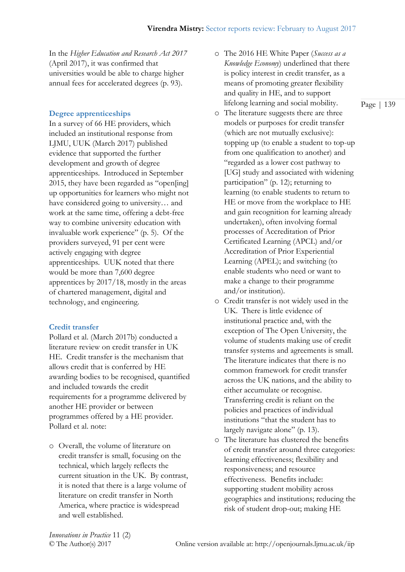In the *Higher Education and Research Act 2017* (April 2017), it was confirmed that universities would be able to charge higher annual fees for accelerated degrees (p. 93).

### **Degree apprenticeships**

In a survey of 66 HE providers, which included an institutional response from LJMU, UUK (March 2017) published evidence that supported the further development and growth of degree apprenticeships. Introduced in September 2015, they have been regarded as "open[ing] up opportunities for learners who might not have considered going to university… and work at the same time, offering a debt-free way to combine university education with invaluable work experience" (p. 5). Of the providers surveyed, 91 per cent were actively engaging with degree apprenticeships. UUK noted that there would be more than 7,600 degree apprentices by 2017/18, mostly in the areas of chartered management, digital and technology, and engineering.

#### **Credit transfer**

Pollard et al. (March 2017b) conducted a literature review on credit transfer in UK HE. Credit transfer is the mechanism that allows credit that is conferred by HE awarding bodies to be recognised, quantified and included towards the credit requirements for a programme delivered by another HE provider or between programmes offered by a HE provider. Pollard et al. note:

o Overall, the volume of literature on credit transfer is small, focusing on the technical, which largely reflects the current situation in the UK. By contrast, it is noted that there is a large volume of literature on credit transfer in North America, where practice is widespread and well established.

- o The 2016 HE White Paper (*Success as a Knowledge Economy*) underlined that there is policy interest in credit transfer, as a means of promoting greater flexibility and quality in HE, and to support lifelong learning and social mobility.
- o The literature suggests there are three models or purposes for credit transfer (which are not mutually exclusive): topping up (to enable a student to top-up from one qualification to another) and "regarded as a lower cost pathway to [UG] study and associated with widening participation" (p. 12); returning to learning (to enable students to return to HE or move from the workplace to HE and gain recognition for learning already undertaken), often involving formal processes of Accreditation of Prior Certificated Learning (APCL) and/or Accreditation of Prior Experiential Learning (APEL); and switching (to enable students who need or want to make a change to their programme and/or institution).
- o Credit transfer is not widely used in the UK. There is little evidence of institutional practice and, with the exception of The Open University, the volume of students making use of credit transfer systems and agreements is small. The literature indicates that there is no common framework for credit transfer across the UK nations, and the ability to either accumulate or recognise. Transferring credit is reliant on the policies and practices of individual institutions "that the student has to largely navigate alone" (p. 13).
- o The literature has clustered the benefits of credit transfer around three categories: learning effectiveness; flexibility and responsiveness; and resource effectiveness. Benefits include: supporting student mobility across geographies and institutions; reducing the risk of student drop-out; making HE

*Innovations in Practice* 11 (2)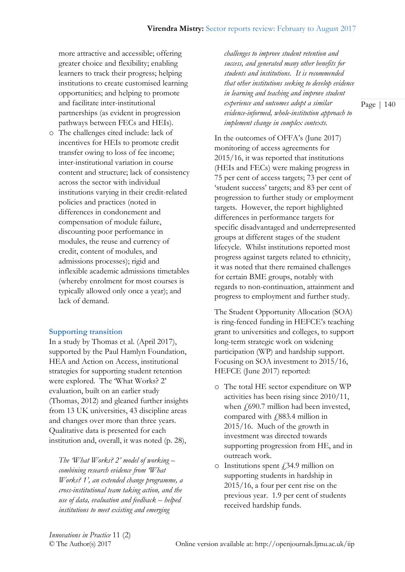more attractive and accessible; offering greater choice and flexibility; enabling learners to track their progress; helping institutions to create customised learning opportunities; and helping to promote and facilitate inter-institutional partnerships (as evident in progression pathways between FECs and HEIs).

o The challenges cited include: lack of incentives for HEIs to promote credit transfer owing to loss of fee income; inter-institutional variation in course content and structure; lack of consistency across the sector with individual institutions varying in their credit-related policies and practices (noted in differences in condonement and compensation of module failure, discounting poor performance in modules, the reuse and currency of credit, content of modules, and admissions processes); rigid and inflexible academic admissions timetables (whereby enrolment for most courses is typically allowed only once a year); and lack of demand.

### **Supporting transition**

In a study by Thomas et al. (April 2017), supported by the Paul Hamlyn Foundation, HEA and Action on Access, institutional strategies for supporting student retention were explored. The 'What Works? 2' evaluation, built on an earlier study (Thomas, 2012) and gleaned further insights from 13 UK universities, 43 discipline areas and changes over more than three years. Qualitative data is presented for each institution and, overall, it was noted (p. 28),

*The 'What Works? 2' model of working – combining research evidence from 'What Works? 1', an extended change programme, a cross-institutional team taking action, and the use of data, evaluation and feedback – helped institutions to meet existing and emerging* 

*challenges to improve student retention and success, and generated many other benefits for students and institutions. It is recommended that other institutions seeking to develop evidence in learning and teaching and improve student experience and outcomes adopt a similar evidence-informed, whole-institution approach to implement change in complex contexts.*

In the outcomes of OFFA's (June 2017) monitoring of access agreements for 2015/16, it was reported that institutions (HEIs and FECs) were making progress in 75 per cent of access targets; 73 per cent of 'student success' targets; and 83 per cent of progression to further study or employment targets. However, the report highlighted differences in performance targets for specific disadvantaged and underrepresented groups at different stages of the student lifecycle. Whilst institutions reported most progress against targets related to ethnicity, it was noted that there remained challenges for certain BME groups, notably with regards to non-continuation, attainment and progress to employment and further study.

The Student Opportunity Allocation (SOA) is ring-fenced funding in HEFCE's teaching grant to universities and colleges, to support long-term strategic work on widening participation (WP) and hardship support. Focusing on SOA investment to 2015/16, HEFCE (June 2017) reported:

- o The total HE sector expenditure on WP activities has been rising since 2010/11, when  $f(690.7 \text{ million had been invested},$ compared with  $\sqrt{283.4}$  million in 2015/16. Much of the growth in investment was directed towards supporting progression from HE, and in outreach work.
- $\circ$  Institutions spent  $\hat{f}$  34.9 million on supporting students in hardship in 2015/16, a four per cent rise on the previous year. 1.9 per cent of students received hardship funds.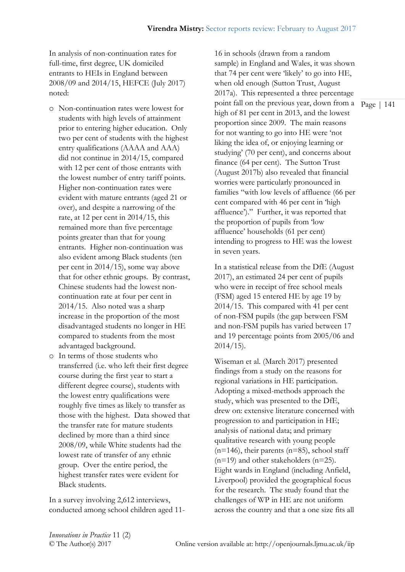In analysis of non-continuation rates for full-time, first degree, UK domiciled entrants to HEIs in England between 2008/09 and 2014/15, HEFCE (July 2017) noted:

- o Non-continuation rates were lowest for students with high levels of attainment prior to entering higher education. Only two per cent of students with the highest entry qualifications (AAAA and AAA) did not continue in 2014/15, compared with 12 per cent of those entrants with the lowest number of entry tariff points. Higher non-continuation rates were evident with mature entrants (aged 21 or over), and despite a narrowing of the rate, at 12 per cent in 2014/15, this remained more than five percentage points greater than that for young entrants. Higher non-continuation was also evident among Black students (ten per cent in 2014/15), some way above that for other ethnic groups. By contrast, Chinese students had the lowest noncontinuation rate at four per cent in 2014/15. Also noted was a sharp increase in the proportion of the most disadvantaged students no longer in HE compared to students from the most advantaged background.
- o In terms of those students who transferred (i.e. who left their first degree course during the first year to start a different degree course), students with the lowest entry qualifications were roughly five times as likely to transfer as those with the highest. Data showed that the transfer rate for mature students declined by more than a third since 2008/09, while White students had the lowest rate of transfer of any ethnic group. Over the entire period, the highest transfer rates were evident for Black students.

In a survey involving 2,612 interviews, conducted among school children aged 11point fall on the previous year, down from a Page | 141 16 in schools (drawn from a random sample) in England and Wales, it was shown that 74 per cent were 'likely' to go into HE, when old enough (Sutton Trust, August 2017a). This represented a three percentage high of 81 per cent in 2013, and the lowest proportion since 2009. The main reasons for not wanting to go into HE were 'not liking the idea of, or enjoying learning or studying' (70 per cent), and concerns about finance (64 per cent). The Sutton Trust (August 2017b) also revealed that financial worries were particularly pronounced in families "with low levels of affluence (66 per cent compared with 46 per cent in 'high affluence')." Further, it was reported that the proportion of pupils from 'low affluence' households (61 per cent) intending to progress to HE was the lowest in seven years.

In a statistical release from the DfE (August 2017), an estimated 24 per cent of pupils who were in receipt of free school meals (FSM) aged 15 entered HE by age 19 by 2014/15. This compared with 41 per cent of non-FSM pupils (the gap between FSM and non-FSM pupils has varied between 17 and 19 percentage points from 2005/06 and  $2014/15$ ).

Wiseman et al. (March 2017) presented findings from a study on the reasons for regional variations in HE participation. Adopting a mixed-methods approach the study, which was presented to the DfE, drew on: extensive literature concerned with progression to and participation in HE; analysis of national data; and primary qualitative research with young people  $(n=146)$ , their parents  $(n=85)$ , school staff (n=19) and other stakeholders (n=25). Eight wards in England (including Anfield, Liverpool) provided the geographical focus for the research. The study found that the challenges of WP in HE are not uniform across the country and that a one size fits all

*Innovations in Practice* 11 (2)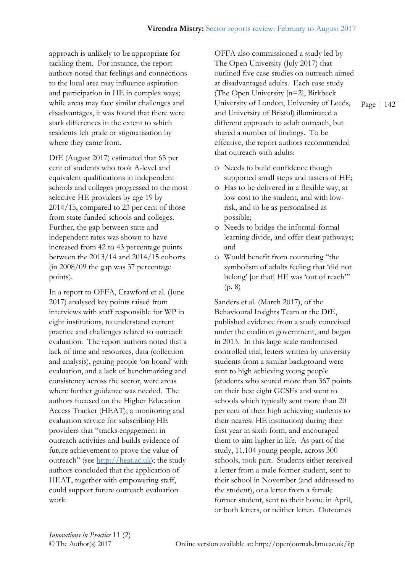approach is unlikely to be appropriate for tackling them. For instance, the report authors noted that feelings and connections to the local area may influence aspiration and participation in HE in complex ways; while areas may face similar challenges and disadvantages, it was found that there were stark differences in the extent to which residents felt pride or stigmatisation by where they came from.

DfE (August 2017) estimated that 65 per cent of students who took A-level and equivalent qualifications in independent schools and colleges progressed to the most selective HE providers by age 19 by 2014/15, compared to 23 per cent of those from state-funded schools and colleges. Further, the gap between state and independent rates was shown to have increased from 42 to 43 percentage points between the 2013/14 and 2014/15 cohorts (in 2008/09 the gap was 37 percentage points).

In a report to OFFA, Crawford et al. (June 2017) analysed key points raised from interviews with staff responsible for WP in eight institutions, to understand current practice and challenges related to outreach evaluation. The report authors noted that a lack of time and resources, data (collection and analysis), getting people 'on board' with evaluation, and a lack of benchmarking and consistency across the sector, were areas where further guidance was needed. The authors focused on the Higher Education Access Tracker (HEAT), a monitoring and evaluation service for subscribing HE providers that "tracks engagement in outreach activities and builds evidence of future achievement to prove the value of outreach" (see [http://heat.ac.uk\)](http://heat.ac.uk/); the study authors concluded that the application of HEAT, together with empowering staff, could support future outreach evaluation work.

OFFA also commissioned a study led by The Open University (July 2017) that outlined five case studies on outreach aimed at disadvantaged adults. Each case study (The Open University [n=2], Birkbeck University of London, University of Leeds, and University of Bristol) illuminated a different approach to adult outreach, but shared a number of findings. To be effective, the report authors recommended that outreach with adults:

- o Needs to build confidence though supported small steps and tasters of HE;
- o Has to be delivered in a flexible way, at low cost to the student, and with lowrisk, and to be as personalised as possible;
- o Needs to bridge the informal-formal learning divide, and offer clear pathways; and
- o Would benefit from countering "the symbolism of adults feeling that 'did not belong' [or that] HE was 'out of reach'" (p. 8)

Sanders et al. (March 2017), of the Behavioural Insights Team at the DfE, published evidence from a study conceived under the coalition government, and began in 2013. In this large scale randomised controlled trial, letters written by university students from a similar background were sent to high achieving young people (students who scored more than 367 points on their best eight GCSEs and went to schools which typically sent more than 20 per cent of their high achieving students to their nearest HE institution) during their first year in sixth form, and encouraged them to aim higher in life. As part of the study, 11,104 young people, across 300 schools, took part. Students either received a letter from a male former student, sent to their school in November (and addressed to the student), or a letter from a female former student, sent to their home in April, or both letters, or neither letter. Outcomes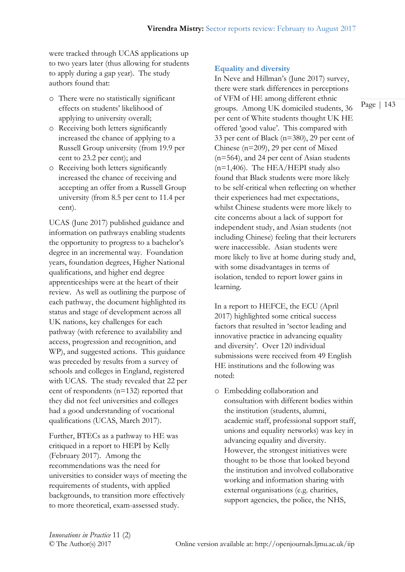were tracked through UCAS applications up to two years later (thus allowing for students to apply during a gap year). The study authors found that:

- o There were no statistically significant effects on students' likelihood of applying to university overall;
- o Receiving both letters significantly increased the chance of applying to a Russell Group university (from 19.9 per cent to 23.2 per cent); and
- o Receiving both letters significantly increased the chance of receiving and accepting an offer from a Russell Group university (from 8.5 per cent to 11.4 per cent).

UCAS (June 2017) published guidance and information on pathways enabling students the opportunity to progress to a bachelor's degree in an incremental way. Foundation years, foundation degrees, Higher National qualifications, and higher end degree apprenticeships were at the heart of their review. As well as outlining the purpose of each pathway, the document highlighted its status and stage of development across all UK nations, key challenges for each pathway (with reference to availability and access, progression and recognition, and WP), and suggested actions. This guidance was preceded by results from a survey of schools and colleges in England, registered with UCAS. The study revealed that 22 per cent of respondents (n=132) reported that they did not feel universities and colleges had a good understanding of vocational qualifications (UCAS, March 2017).

Further, BTECs as a pathway to HE was critiqued in a report to HEPI by Kelly (February 2017). Among the recommendations was the need for universities to consider ways of meeting the requirements of students, with applied backgrounds, to transition more effectively to more theoretical, exam-assessed study.

### **Equality and diversity**

In Neve and Hillman's (June 2017) survey, there were stark differences in perceptions of VFM of HE among different ethnic groups. Among UK domiciled students, 36 per cent of White students thought UK HE offered 'good value'. This compared with 33 per cent of Black (n=380), 29 per cent of Chinese (n=209), 29 per cent of Mixed (n=564), and 24 per cent of Asian students  $(n=1,406)$ . The HEA/HEPI study also found that Black students were more likely to be self-critical when reflecting on whether their experiences had met expectations, whilst Chinese students were more likely to cite concerns about a lack of support for independent study, and Asian students (not including Chinese) feeling that their lecturers were inaccessible. Asian students were more likely to live at home during study and, with some disadvantages in terms of isolation, tended to report lower gains in learning.

In a report to HEFCE, the ECU (April 2017) highlighted some critical success factors that resulted in 'sector leading and innovative practice in advancing equality and diversity'. Over 120 individual submissions were received from 49 English HE institutions and the following was noted:

o Embedding collaboration and consultation with different bodies within the institution (students, alumni, academic staff, professional support staff, unions and equality networks) was key in advancing equality and diversity. However, the strongest initiatives were thought to be those that looked beyond the institution and involved collaborative working and information sharing with external organisations (e.g. charities, support agencies, the police, the NHS,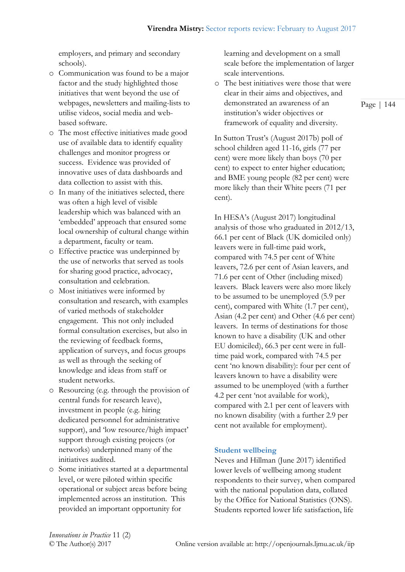employers, and primary and secondary schools).

- o Communication was found to be a major factor and the study highlighted those initiatives that went beyond the use of webpages, newsletters and mailing-lists to utilise videos, social media and webbased software.
- o The most effective initiatives made good use of available data to identify equality challenges and monitor progress or success. Evidence was provided of innovative uses of data dashboards and data collection to assist with this.
- o In many of the initiatives selected, there was often a high level of visible leadership which was balanced with an 'embedded' approach that ensured some local ownership of cultural change within a department, faculty or team.
- o Effective practice was underpinned by the use of networks that served as tools for sharing good practice, advocacy, consultation and celebration.
- o Most initiatives were informed by consultation and research, with examples of varied methods of stakeholder engagement. This not only included formal consultation exercises, but also in the reviewing of feedback forms, application of surveys, and focus groups as well as through the seeking of knowledge and ideas from staff or student networks.
- o Resourcing (e.g. through the provision of central funds for research leave), investment in people (e.g. hiring dedicated personnel for administrative support), and 'low resource/high impact' support through existing projects (or networks) underpinned many of the initiatives audited.
- o Some initiatives started at a departmental level, or were piloted within specific operational or subject areas before being implemented across an institution. This provided an important opportunity for

learning and development on a small scale before the implementation of larger scale interventions.

o The best initiatives were those that were clear in their aims and objectives, and demonstrated an awareness of an institution's wider objectives or framework of equality and diversity.

In Sutton Trust's (August 2017b) poll of school children aged 11-16, girls (77 per cent) were more likely than boys (70 per cent) to expect to enter higher education; and BME young people (82 per cent) were more likely than their White peers (71 per cent).

In HESA's (August 2017) longitudinal analysis of those who graduated in 2012/13, 66.1 per cent of Black (UK domiciled only) leavers were in full-time paid work, compared with 74.5 per cent of White leavers, 72.6 per cent of Asian leavers, and 71.6 per cent of Other (including mixed) leavers. Black leavers were also more likely to be assumed to be unemployed (5.9 per cent), compared with White (1.7 per cent), Asian (4.2 per cent) and Other (4.6 per cent) leavers. In terms of destinations for those known to have a disability (UK and other EU domiciled), 66.3 per cent were in fulltime paid work, compared with 74.5 per cent 'no known disability): four per cent of leavers known to have a disability were assumed to be unemployed (with a further 4.2 per cent 'not available for work), compared with 2.1 per cent of leavers with no known disability (with a further 2.9 per cent not available for employment).

## **Student wellbeing**

Neves and Hillman (June 2017) identified lower levels of wellbeing among student respondents to their survey, when compared with the national population data, collated by the Office for National Statistics (ONS). Students reported lower life satisfaction, life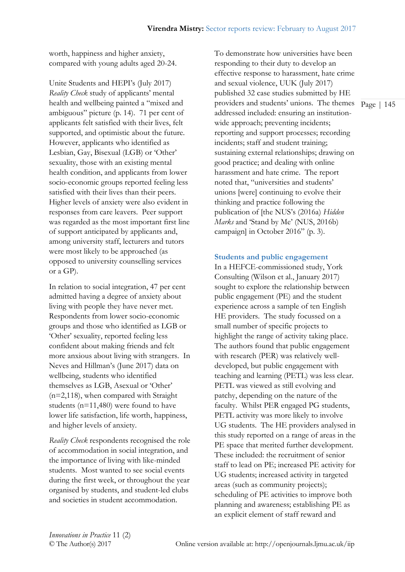worth, happiness and higher anxiety, compared with young adults aged 20-24.

Unite Students and HEPI's (July 2017) *Reality Check* study of applicants' mental health and wellbeing painted a "mixed and ambiguous" picture (p. 14). 71 per cent of applicants felt satisfied with their lives, felt supported, and optimistic about the future. However, applicants who identified as Lesbian, Gay, Bisexual (LGB) or 'Other' sexuality, those with an existing mental health condition, and applicants from lower socio-economic groups reported feeling less satisfied with their lives than their peers. Higher levels of anxiety were also evident in responses from care leavers. Peer support was regarded as the most important first line of support anticipated by applicants and, among university staff, lecturers and tutors were most likely to be approached (as opposed to university counselling services or a GP).

In relation to social integration, 47 per cent admitted having a degree of anxiety about living with people they have never met. Respondents from lower socio-economic groups and those who identified as LGB or 'Other' sexuality, reported feeling less confident about making friends and felt more anxious about living with strangers. In Neves and Hillman's (June 2017) data on wellbeing, students who identified themselves as LGB, Asexual or 'Other' (n=2,118), when compared with Straight students (n=11,480) were found to have lower life satisfaction, life worth, happiness, and higher levels of anxiety.

*Reality Check* respondents recognised the role of accommodation in social integration, and the importance of living with like-minded students. Most wanted to see social events during the first week, or throughout the year organised by students, and student-led clubs and societies in student accommodation.

providers and students' unions. The themes Page | 145 To demonstrate how universities have been responding to their duty to develop an effective response to harassment, hate crime and sexual violence, UUK (July 2017) published 32 case studies submitted by HE addressed included: ensuring an institutionwide approach; preventing incidents; reporting and support processes; recording incidents; staff and student training; sustaining external relationships; drawing on good practice; and dealing with online harassment and hate crime. The report noted that, "universities and students' unions [were] continuing to evolve their thinking and practice following the publication of [the NUS's (2016a) *Hidden Marks* and 'Stand by Me' (NUS, 2016b) campaign] in October 2016" (p. 3).

### **Students and public engagement**

In a HEFCE-commissioned study, York Consulting (Wilson et al., January 2017) sought to explore the relationship between public engagement (PE) and the student experience across a sample of ten English HE providers. The study focussed on a small number of specific projects to highlight the range of activity taking place. The authors found that public engagement with research (PER) was relatively welldeveloped, but public engagement with teaching and learning (PETL) was less clear. PETL was viewed as still evolving and patchy, depending on the nature of the faculty. Whilst PER engaged PG students, PETL activity was more likely to involve UG students. The HE providers analysed in this study reported on a range of areas in the PE space that merited further development. These included: the recruitment of senior staff to lead on PE; increased PE activity for UG students; increased activity in targeted areas (such as community projects); scheduling of PE activities to improve both planning and awareness; establishing PE as an explicit element of staff reward and

*Innovations in Practice* 11 (2)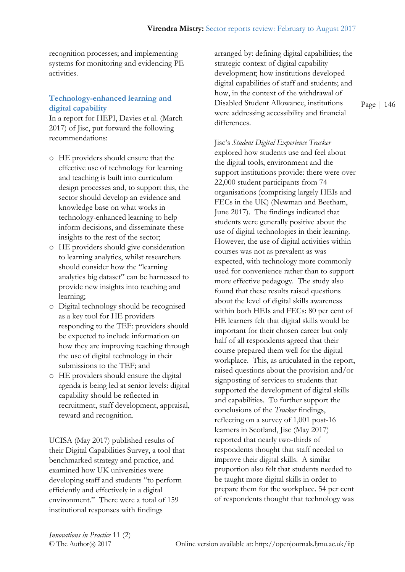recognition processes; and implementing systems for monitoring and evidencing PE activities.

# **Technology-enhanced learning and digital capability**

In a report for HEPI, Davies et al. (March 2017) of Jisc, put forward the following recommendations:

- o HE providers should ensure that the effective use of technology for learning and teaching is built into curriculum design processes and, to support this, the sector should develop an evidence and knowledge base on what works in technology-enhanced learning to help inform decisions, and disseminate these insights to the rest of the sector;
- o HE providers should give consideration to learning analytics, whilst researchers should consider how the "learning analytics big dataset" can be harnessed to provide new insights into teaching and learning;
- o Digital technology should be recognised as a key tool for HE providers responding to the TEF: providers should be expected to include information on how they are improving teaching through the use of digital technology in their submissions to the TEF; and
- o HE providers should ensure the digital agenda is being led at senior levels: digital capability should be reflected in recruitment, staff development, appraisal, reward and recognition.

UCISA (May 2017) published results of their Digital Capabilities Survey, a tool that benchmarked strategy and practice, and examined how UK universities were developing staff and students "to perform efficiently and effectively in a digital environment." There were a total of 159 institutional responses with findings

arranged by: defining digital capabilities; the strategic context of digital capability development; how institutions developed digital capabilities of staff and students; and how, in the context of the withdrawal of Disabled Student Allowance, institutions were addressing accessibility and financial differences.

Jisc's *Student Digital Experience Tracker*  explored how students use and feel about the digital tools, environment and the support institutions provide: there were over 22,000 student participants from 74 organisations (comprising largely HEIs and FECs in the UK) (Newman and Beetham, June 2017). The findings indicated that students were generally positive about the use of digital technologies in their learning. However, the use of digital activities within courses was not as prevalent as was expected, with technology more commonly used for convenience rather than to support more effective pedagogy. The study also found that these results raised questions about the level of digital skills awareness within both HEIs and FECs: 80 per cent of HE learners felt that digital skills would be important for their chosen career but only half of all respondents agreed that their course prepared them well for the digital workplace. This, as articulated in the report, raised questions about the provision and/or signposting of services to students that supported the development of digital skills and capabilities. To further support the conclusions of the *Tracker* findings, reflecting on a survey of 1,001 post-16 learners in Scotland, Jisc (May 2017) reported that nearly two-thirds of respondents thought that staff needed to improve their digital skills. A similar proportion also felt that students needed to be taught more digital skills in order to prepare them for the workplace. 54 per cent of respondents thought that technology was

*Innovations in Practice* 11 (2)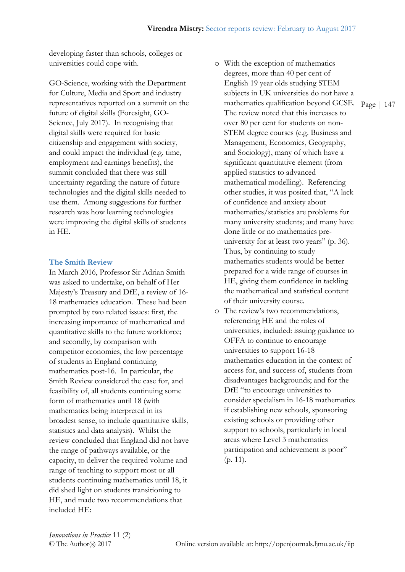developing faster than schools, colleges or universities could cope with.

GO-Science, working with the Department for Culture, Media and Sport and industry representatives reported on a summit on the future of digital skills (Foresight, GO-Science, July 2017). In recognising that digital skills were required for basic citizenship and engagement with society, and could impact the individual (e.g. time, employment and earnings benefits), the summit concluded that there was still uncertainty regarding the nature of future technologies and the digital skills needed to use them. Among suggestions for further research was how learning technologies were improving the digital skills of students in HE.

#### **The Smith Review**

In March 2016, Professor Sir Adrian Smith was asked to undertake, on behalf of Her Majesty's Treasury and DfE, a review of 16- 18 mathematics education. These had been prompted by two related issues: first, the increasing importance of mathematical and quantitative skills to the future workforce; and secondly, by comparison with competitor economies, the low percentage of students in England continuing mathematics post-16. In particular, the Smith Review considered the case for, and feasibility of, all students continuing some form of mathematics until 18 (with mathematics being interpreted in its broadest sense, to include quantitative skills, statistics and data analysis). Whilst the review concluded that England did not have the range of pathways available, or the capacity, to deliver the required volume and range of teaching to support most or all students continuing mathematics until 18, it did shed light on students transitioning to HE, and made two recommendations that included HE:

- mathematics qualification beyond GCSE. Page | 147 o With the exception of mathematics degrees, more than 40 per cent of English 19 year olds studying STEM subjects in UK universities do not have a The review noted that this increases to over 80 per cent for students on non-STEM degree courses (e.g. Business and Management, Economics, Geography, and Sociology), many of which have a significant quantitative element (from applied statistics to advanced mathematical modelling). Referencing other studies, it was posited that, "A lack of confidence and anxiety about mathematics/statistics are problems for many university students; and many have done little or no mathematics preuniversity for at least two years" (p. 36). Thus, by continuing to study mathematics students would be better prepared for a wide range of courses in HE, giving them confidence in tackling the mathematical and statistical content of their university course.
- o The review's two recommendations, referencing HE and the roles of universities, included: issuing guidance to OFFA to continue to encourage universities to support 16-18 mathematics education in the context of access for, and success of, students from disadvantages backgrounds; and for the DfE "to encourage universities to consider specialism in 16-18 mathematics if establishing new schools, sponsoring existing schools or providing other support to schools, particularly in local areas where Level 3 mathematics participation and achievement is poor" (p. 11).

*Innovations in Practice* 11 (2)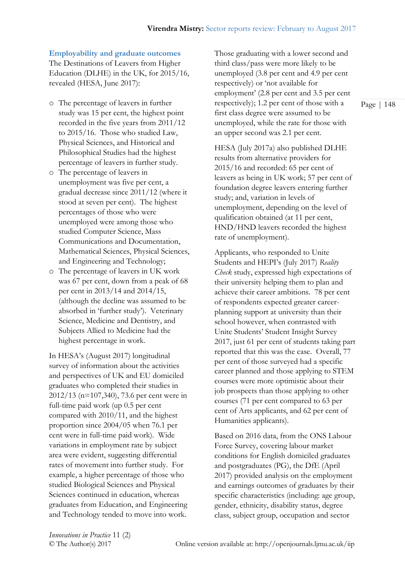## **Employability and graduate outcomes**

The Destinations of Leavers from Higher Education (DLHE) in the UK, for 2015/16, revealed (HESA, June 2017):

- o The percentage of leavers in further study was 15 per cent, the highest point recorded in the five years from 2011/12 to 2015/16. Those who studied Law, Physical Sciences, and Historical and Philosophical Studies had the highest percentage of leavers in further study.
- o The percentage of leavers in unemployment was five per cent, a gradual decrease since 2011/12 (where it stood at seven per cent). The highest percentages of those who were unemployed were among those who studied Computer Science, Mass Communications and Documentation, Mathematical Sciences, Physical Sciences, and Engineering and Technology;
- o The percentage of leavers in UK work was 67 per cent, down from a peak of 68 per cent in 2013/14 and 2014/15, (although the decline was assumed to be absorbed in 'further study'). Veterinary Science, Medicine and Dentistry, and Subjects Allied to Medicine had the highest percentage in work.

In HESA's (August 2017) longitudinal survey of information about the activities and perspectives of UK and EU domiciled graduates who completed their studies in 2012/13 (n=107,340), 73.6 per cent were in full-time paid work (up 0.5 per cent compared with 2010/11, and the highest proportion since 2004/05 when 76.1 per cent were in full-time paid work). Wide variations in employment rate by subject area were evident, suggesting differential rates of movement into further study. For example, a higher percentage of those who studied Biological Sciences and Physical Sciences continued in education, whereas graduates from Education, and Engineering and Technology tended to move into work.

Those graduating with a lower second and third class/pass were more likely to be unemployed (3.8 per cent and 4.9 per cent respectively) or 'not available for employment' (2.8 per cent and 3.5 per cent respectively); 1.2 per cent of those with a first class degree were assumed to be unemployed, while the rate for those with an upper second was 2.1 per cent.

HESA (July 2017a) also published DLHE results from alternative providers for 2015/16 and recorded: 65 per cent of leavers as being in UK work; 57 per cent of foundation degree leavers entering further study; and, variation in levels of unemployment, depending on the level of qualification obtained (at 11 per cent, HND/HND leavers recorded the highest rate of unemployment).

Applicants, who responded to Unite Students and HEPI's (July 2017) *Reality Check* study, expressed high expectations of their university helping them to plan and achieve their career ambitions. 78 per cent of respondents expected greater careerplanning support at university than their school however, when contrasted with Unite Students' Student Insight Survey 2017, just 61 per cent of students taking part reported that this was the case. Overall, 77 per cent of those surveyed had a specific career planned and those applying to STEM courses were more optimistic about their job prospects than those applying to other courses (71 per cent compared to 63 per cent of Arts applicants, and 62 per cent of Humanities applicants).

Based on 2016 data, from the ONS Labour Force Survey, covering labour market conditions for English domiciled graduates and postgraduates (PG), the DfE (April 2017) provided analysis on the employment and earnings outcomes of graduates by their specific characteristics (including: age group, gender, ethnicity, disability status, degree class, subject group, occupation and sector

*Innovations in Practice* 11 (2)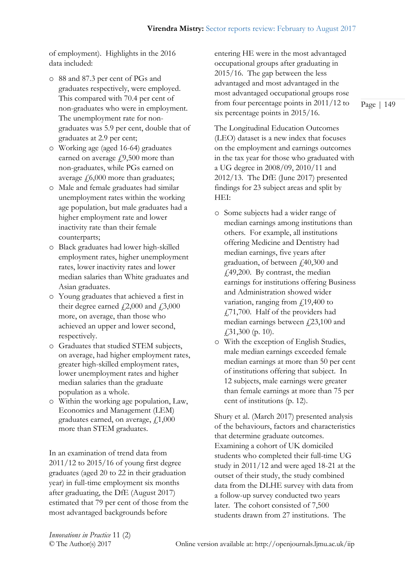of employment). Highlights in the 2016 data included:

- o 88 and 87.3 per cent of PGs and graduates respectively, were employed. This compared with 70.4 per cent of non-graduates who were in employment. The unemployment rate for nongraduates was 5.9 per cent, double that of graduates at 2.9 per cent;
- o Working age (aged 16-64) graduates earned on average  $f(9,500$  more than non-graduates, while PGs earned on average  $\text{\emph{f}}5,000$  more than graduates;
- o Male and female graduates had similar unemployment rates within the working age population, but male graduates had a higher employment rate and lower inactivity rate than their female counterparts;
- o Black graduates had lower high-skilled employment rates, higher unemployment rates, lower inactivity rates and lower median salaries than White graduates and Asian graduates.
- o Young graduates that achieved a first in their degree earned  $\textit{\textbf{1}}2,000$  and  $\textit{\textbf{1}}3,000$ more, on average, than those who achieved an upper and lower second, respectively.
- o Graduates that studied STEM subjects, on average, had higher employment rates, greater high-skilled employment rates, lower unemployment rates and higher median salaries than the graduate population as a whole.
- o Within the working age population, Law, Economics and Management (LEM) graduates earned, on average,  $f$ , 1,000 more than STEM graduates.

In an examination of trend data from 2011/12 to 2015/16 of young first degree graduates (aged 20 to 22 in their graduation year) in full-time employment six months after graduating, the DfE (August 2017) estimated that 79 per cent of those from the most advantaged backgrounds before

entering HE were in the most advantaged occupational groups after graduating in 2015/16. The gap between the less advantaged and most advantaged in the most advantaged occupational groups rose from four percentage points in 2011/12 to six percentage points in 2015/16.

The Longitudinal Education Outcomes (LEO) dataset is a new index that focuses on the employment and earnings outcomes in the tax year for those who graduated with a UG degree in 2008/09, 2010/11 and 2012/13. The DfE (June 2017) presented findings for 23 subject areas and split by HEI:

- o Some subjects had a wider range of median earnings among institutions than others. For example, all institutions offering Medicine and Dentistry had median earnings, five years after graduation, of between £40,300 and £49,200. By contrast, the median earnings for institutions offering Business and Administration showed wider variation, ranging from  $\int$ 19,400 to £71,700. Half of the providers had median earnings between  $f(23,100)$  and  $\textcolor{blue}{\cancel{131,300}}$  (p. 10).
- o With the exception of English Studies, male median earnings exceeded female median earnings at more than 50 per cent of institutions offering that subject. In 12 subjects, male earnings were greater than female earnings at more than 75 per cent of institutions (p. 12).

Shury et al. (March 2017) presented analysis of the behaviours, factors and characteristics that determine graduate outcomes. Examining a cohort of UK domiciled students who completed their full-time UG study in 2011/12 and were aged 18-21 at the outset of their study, the study combined data from the DLHE survey with data from a follow-up survey conducted two years later. The cohort consisted of 7,500 students drawn from 27 institutions. The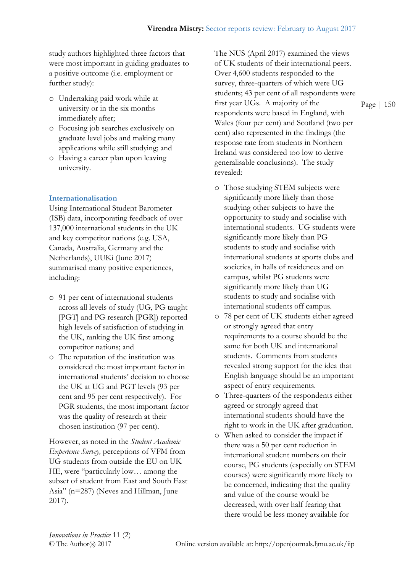study authors highlighted three factors that were most important in guiding graduates to a positive outcome (i.e. employment or further study):

- o Undertaking paid work while at university or in the six months immediately after;
- o Focusing job searches exclusively on graduate level jobs and making many applications while still studying; and
- o Having a career plan upon leaving university.

# **Internationalisation**

Using International Student Barometer (ISB) data, incorporating feedback of over 137,000 international students in the UK and key competitor nations (e.g. USA, Canada, Australia, Germany and the Netherlands), UUKi (June 2017) summarised many positive experiences, including:

- o 91 per cent of international students across all levels of study (UG, PG taught [PGT] and PG research [PGR]) reported high levels of satisfaction of studying in the UK, ranking the UK first among competitor nations; and
- o The reputation of the institution was considered the most important factor in international students' decision to choose the UK at UG and PGT levels (93 per cent and 95 per cent respectively). For PGR students, the most important factor was the quality of research at their chosen institution (97 per cent).

However, as noted in the *Student Academic Experience Survey,* perceptions of VFM from UG students from outside the EU on UK HE, were "particularly low… among the subset of student from East and South East Asia" (n=287) (Neves and Hillman, June 2017).

The NUS (April 2017) examined the views of UK students of their international peers. Over 4,600 students responded to the survey, three-quarters of which were UG students; 43 per cent of all respondents were first year UGs. A majority of the respondents were based in England, with Wales (four per cent) and Scotland (two per cent) also represented in the findings (the response rate from students in Northern Ireland was considered too low to derive generalisable conclusions). The study revealed:

- o Those studying STEM subjects were significantly more likely than those studying other subjects to have the opportunity to study and socialise with international students. UG students were significantly more likely than PG students to study and socialise with international students at sports clubs and societies, in halls of residences and on campus, whilst PG students were significantly more likely than UG students to study and socialise with international students off campus.
- o 78 per cent of UK students either agreed or strongly agreed that entry requirements to a course should be the same for both UK and international students. Comments from students revealed strong support for the idea that English language should be an important aspect of entry requirements.
- o Three-quarters of the respondents either agreed or strongly agreed that international students should have the right to work in the UK after graduation.
- o When asked to consider the impact if there was a 50 per cent reduction in international student numbers on their course, PG students (especially on STEM courses) were significantly more likely to be concerned, indicating that the quality and value of the course would be decreased, with over half fearing that there would be less money available for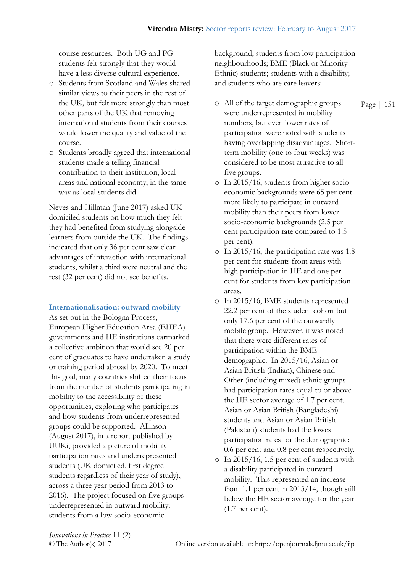course resources. Both UG and PG students felt strongly that they would have a less diverse cultural experience.

- o Students from Scotland and Wales shared similar views to their peers in the rest of the UK, but felt more strongly than most other parts of the UK that removing international students from their courses would lower the quality and value of the course.
- o Students broadly agreed that international students made a telling financial contribution to their institution, local areas and national economy, in the same way as local students did.

Neves and Hillman (June 2017) asked UK domiciled students on how much they felt they had benefited from studying alongside learners from outside the UK. The findings indicated that only 36 per cent saw clear advantages of interaction with international students, whilst a third were neutral and the rest (32 per cent) did not see benefits.

## **Internationalisation: outward mobility**

As set out in the Bologna Process, European Higher Education Area (EHEA) governments and HE institutions earmarked a collective ambition that would see 20 per cent of graduates to have undertaken a study or training period abroad by 2020. To meet this goal, many countries shifted their focus from the number of students participating in mobility to the accessibility of these opportunities, exploring who participates and how students from underrepresented groups could be supported. Allinson (August 2017), in a report published by UUKi, provided a picture of mobility participation rates and underrepresented students (UK domiciled, first degree students regardless of their year of study), across a three year period from 2013 to 2016). The project focused on five groups underrepresented in outward mobility: students from a low socio-economic

background; students from low participation neighbourhoods; BME (Black or Minority Ethnic) students; students with a disability; and students who are care leavers:

- o All of the target demographic groups were underrepresented in mobility numbers, but even lower rates of participation were noted with students having overlapping disadvantages. Shortterm mobility (one to four weeks) was considered to be most attractive to all five groups.
- o In 2015/16, students from higher socioeconomic backgrounds were 65 per cent more likely to participate in outward mobility than their peers from lower socio-economic backgrounds (2.5 per cent participation rate compared to 1.5 per cent).
- o In 2015/16, the participation rate was 1.8 per cent for students from areas with high participation in HE and one per cent for students from low participation areas.
- o In 2015/16, BME students represented 22.2 per cent of the student cohort but only 17.6 per cent of the outwardly mobile group. However, it was noted that there were different rates of participation within the BME demographic. In 2015/16, Asian or Asian British (Indian), Chinese and Other (including mixed) ethnic groups had participation rates equal to or above the HE sector average of 1.7 per cent. Asian or Asian British (Bangladeshi) students and Asian or Asian British (Pakistani) students had the lowest participation rates for the demographic: 0.6 per cent and 0.8 per cent respectively.
- o In 2015/16, 1.5 per cent of students with a disability participated in outward mobility. This represented an increase from 1.1 per cent in 2013/14, though still below the HE sector average for the year (1.7 per cent).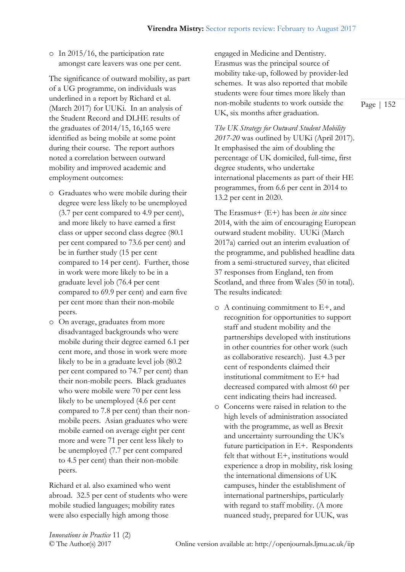o In 2015/16, the participation rate amongst care leavers was one per cent.

The significance of outward mobility, as part of a UG programme, on individuals was underlined in a report by Richard et al. (March 2017) for UUKi. In an analysis of the Student Record and DLHE results of the graduates of 2014/15, 16,165 were identified as being mobile at some point during their course. The report authors noted a correlation between outward mobility and improved academic and employment outcomes:

- o Graduates who were mobile during their degree were less likely to be unemployed (3.7 per cent compared to 4.9 per cent), and more likely to have earned a first class or upper second class degree (80.1 per cent compared to 73.6 per cent) and be in further study (15 per cent compared to 14 per cent). Further, those in work were more likely to be in a graduate level job (76.4 per cent compared to 69.9 per cent) and earn five per cent more than their non-mobile peers.
- o On average, graduates from more disadvantaged backgrounds who were mobile during their degree earned 6.1 per cent more, and those in work were more likely to be in a graduate level job (80.2 per cent compared to 74.7 per cent) than their non-mobile peers. Black graduates who were mobile were 70 per cent less likely to be unemployed (4.6 per cent compared to 7.8 per cent) than their nonmobile peers. Asian graduates who were mobile earned on average eight per cent more and were 71 per cent less likely to be unemployed (7.7 per cent compared to 4.5 per cent) than their non-mobile peers.

Richard et al. also examined who went abroad. 32.5 per cent of students who were mobile studied languages; mobility rates were also especially high among those

engaged in Medicine and Dentistry. Erasmus was the principal source of mobility take-up, followed by provider-led schemes. It was also reported that mobile students were four times more likely than non-mobile students to work outside the UK, six months after graduation.

*The UK Strategy for Outward Student Mobility 2017-20* was outlined by UUKi (April 2017). It emphasised the aim of doubling the percentage of UK domiciled, full-time, first degree students, who undertake international placements as part of their HE programmes, from 6.6 per cent in 2014 to 13.2 per cent in 2020.

The Erasmus+ (E+) has been *in situ* since 2014, with the aim of encouraging European outward student mobility. UUKi (March 2017a) carried out an interim evaluation of the programme, and published headline data from a semi-structured survey, that elicited 37 responses from England, ten from Scotland, and three from Wales (50 in total). The results indicated:

- o A continuing commitment to E+, and recognition for opportunities to support staff and student mobility and the partnerships developed with institutions in other countries for other work (such as collaborative research). Just 4.3 per cent of respondents claimed their institutional commitment to E+ had decreased compared with almost 60 per cent indicating theirs had increased.
- o Concerns were raised in relation to the high levels of administration associated with the programme, as well as Brexit and uncertainty surrounding the UK's future participation in E+. Respondents felt that without E+, institutions would experience a drop in mobility, risk losing the international dimensions of UK campuses, hinder the establishment of international partnerships, particularly with regard to staff mobility. (A more nuanced study, prepared for UUK, was

*Innovations in Practice* 11 (2)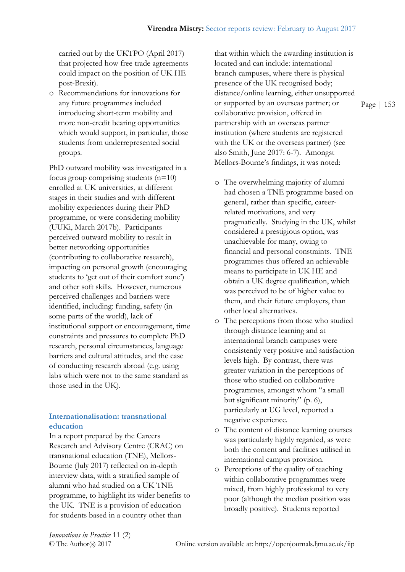carried out by the UKTPO (April 2017) that projected how free trade agreements could impact on the position of UK HE post-Brexit).

o Recommendations for innovations for any future programmes included introducing short-term mobility and more non-credit bearing opportunities which would support, in particular, those students from underrepresented social groups.

PhD outward mobility was investigated in a focus group comprising students (n=10) enrolled at UK universities, at different stages in their studies and with different mobility experiences during their PhD programme, or were considering mobility (UUKi, March 2017b). Participants perceived outward mobility to result in better networking opportunities (contributing to collaborative research), impacting on personal growth (encouraging students to 'get out of their comfort zone') and other soft skills. However, numerous perceived challenges and barriers were identified, including: funding, safety (in some parts of the world), lack of institutional support or encouragement, time constraints and pressures to complete PhD research, personal circumstances, language barriers and cultural attitudes, and the ease of conducting research abroad (e.g. using labs which were not to the same standard as those used in the UK).

# **Internationalisation: transnational education**

In a report prepared by the Careers Research and Advisory Centre (CRAC) on transnational education (TNE), Mellors-Bourne (July 2017) reflected on in-depth interview data, with a stratified sample of alumni who had studied on a UK TNE programme, to highlight its wider benefits to the UK. TNE is a provision of education for students based in a country other than

that within which the awarding institution is located and can include: international branch campuses, where there is physical presence of the UK recognised body; distance/online learning, either unsupported or supported by an overseas partner; or collaborative provision, offered in partnership with an overseas partner institution (where students are registered with the UK or the overseas partner) (see also Smith, June 2017: 6-7). Amongst Mellors-Bourne's findings, it was noted:

- o The overwhelming majority of alumni had chosen a TNE programme based on general, rather than specific, careerrelated motivations, and very pragmatically. Studying in the UK, whilst considered a prestigious option, was unachievable for many, owing to financial and personal constraints. TNE programmes thus offered an achievable means to participate in UK HE and obtain a UK degree qualification, which was perceived to be of higher value to them, and their future employers, than other local alternatives.
- o The perceptions from those who studied through distance learning and at international branch campuses were consistently very positive and satisfaction levels high. By contrast, there was greater variation in the perceptions of those who studied on collaborative programmes, amongst whom "a small but significant minority" (p. 6), particularly at UG level, reported a negative experience.
- o The content of distance learning courses was particularly highly regarded, as were both the content and facilities utilised in international campus provision.
- o Perceptions of the quality of teaching within collaborative programmes were mixed, from highly professional to very poor (although the median position was broadly positive). Students reported

*Innovations in Practice* 11 (2)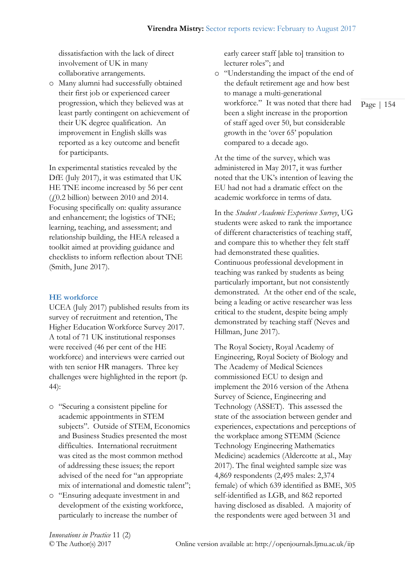dissatisfaction with the lack of direct involvement of UK in many collaborative arrangements.

o Many alumni had successfully obtained their first job or experienced career progression, which they believed was at least partly contingent on achievement of their UK degree qualification. An improvement in English skills was reported as a key outcome and benefit for participants.

In experimental statistics revealed by the DfE (July 2017), it was estimated that UK HE TNE income increased by 56 per cent  $(4.0.2 \text{ billion})$  between 2010 and 2014. Focusing specifically on: quality assurance and enhancement; the logistics of TNE; learning, teaching, and assessment; and relationship building, the HEA released a toolkit aimed at providing guidance and checklists to inform reflection about TNE (Smith, June 2017).

#### **HE workforce**

UCEA (July 2017) published results from its survey of recruitment and retention, The Higher Education Workforce Survey 2017. A total of 71 UK institutional responses were received (46 per cent of the HE workforce) and interviews were carried out with ten senior HR managers. Three key challenges were highlighted in the report (p. 44):

- o "Securing a consistent pipeline for academic appointments in STEM subjects". Outside of STEM, Economics and Business Studies presented the most difficulties. International recruitment was cited as the most common method of addressing these issues; the report advised of the need for "an appropriate mix of international and domestic talent";
- o "Ensuring adequate investment in and development of the existing workforce, particularly to increase the number of

early career staff [able to] transition to lecturer roles"; and

o "Understanding the impact of the end of the default retirement age and how best to manage a multi-generational workforce." It was noted that there had been a slight increase in the proportion of staff aged over 50, but considerable growth in the 'over 65' population compared to a decade ago.

At the time of the survey, which was administered in May 2017, it was further noted that the UK's intention of leaving the EU had not had a dramatic effect on the academic workforce in terms of data.

In the *Student Academic Experience Survey*, UG students were asked to rank the importance of different characteristics of teaching staff, and compare this to whether they felt staff had demonstrated these qualities. Continuous professional development in teaching was ranked by students as being particularly important, but not consistently demonstrated. At the other end of the scale, being a leading or active researcher was less critical to the student, despite being amply demonstrated by teaching staff (Neves and Hillman, June 2017).

The Royal Society, Royal Academy of Engineering, Royal Society of Biology and The Academy of Medical Sciences commissioned ECU to design and implement the 2016 version of the Athena Survey of Science, Engineering and Technology (ASSET). This assessed the state of the association between gender and experiences, expectations and perceptions of the workplace among STEMM (Science Technology Engineering Mathematics Medicine) academics (Aldercotte at al., May 2017). The final weighted sample size was 4,869 respondents (2,495 males: 2,374 female) of which 639 identified as BME, 305 self-identified as LGB, and 862 reported having disclosed as disabled. A majority of the respondents were aged between 31 and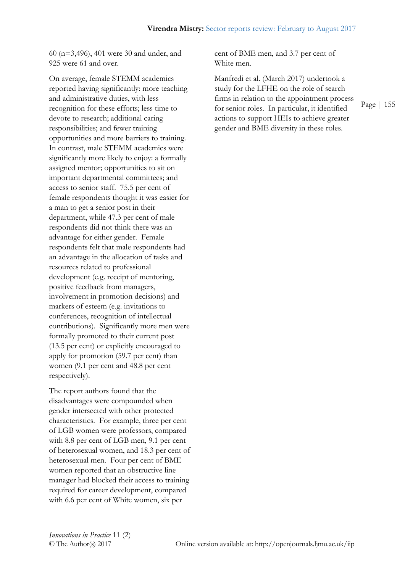60 (n=3,496), 401 were 30 and under, and 925 were 61 and over.

On average, female STEMM academics reported having significantly: more teaching and administrative duties, with less recognition for these efforts; less time to devote to research; additional caring responsibilities; and fewer training opportunities and more barriers to training. In contrast, male STEMM academics were significantly more likely to enjoy: a formally assigned mentor; opportunities to sit on important departmental committees; and access to senior staff. 75.5 per cent of female respondents thought it was easier for a man to get a senior post in their department, while 47.3 per cent of male respondents did not think there was an advantage for either gender. Female respondents felt that male respondents had an advantage in the allocation of tasks and resources related to professional development (e.g. receipt of mentoring, positive feedback from managers, involvement in promotion decisions) and markers of esteem (e.g. invitations to conferences, recognition of intellectual contributions). Significantly more men were formally promoted to their current post (13.5 per cent) or explicitly encouraged to apply for promotion (59.7 per cent) than women (9.1 per cent and 48.8 per cent respectively).

The report authors found that the disadvantages were compounded when gender intersected with other protected characteristics. For example, three per cent of LGB women were professors, compared with 8.8 per cent of LGB men, 9.1 per cent of heterosexual women, and 18.3 per cent of heterosexual men. Four per cent of BME women reported that an obstructive line manager had blocked their access to training required for career development, compared with 6.6 per cent of White women, six per

cent of BME men, and 3.7 per cent of White men.

Manfredi et al. (March 2017) undertook a study for the LFHE on the role of search firms in relation to the appointment process for senior roles. In particular, it identified actions to support HEIs to achieve greater gender and BME diversity in these roles.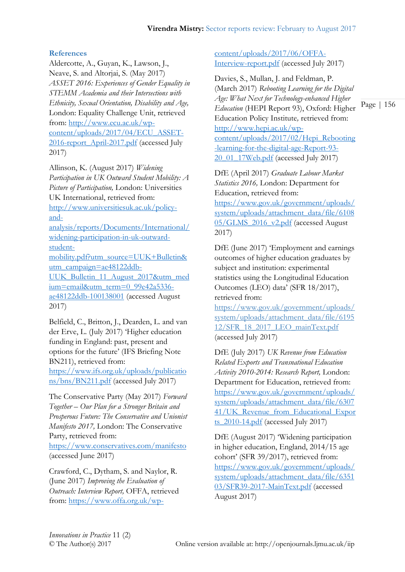# **References**

Aldercotte, A., Guyan, K., Lawson, J., Neave, S. and Altorjai, S. (May 2017) *ASSET 2016: Experiences of Gender Equality in STEMM Academia and their Intersections with Ethnicity, Sexual Orientation, Disability and Age,*  London: Equality Challenge Unit, retrieved from: [http://www.ecu.ac.uk/wp](http://www.ecu.ac.uk/wp-content/uploads/2017/04/ECU_ASSET-2016-report_April-2017.pdf)[content/uploads/2017/04/ECU\\_ASSET-](http://www.ecu.ac.uk/wp-content/uploads/2017/04/ECU_ASSET-2016-report_April-2017.pdf)[2016-report\\_April-2017.pdf](http://www.ecu.ac.uk/wp-content/uploads/2017/04/ECU_ASSET-2016-report_April-2017.pdf) (accessed July 2017)

Allinson, K. (August 2017) *Widening Participation in UK Outward Student Mobility: A Picture of Participation,* London: Universities UK International, retrieved from:

[http://www.universitiesuk.ac.uk/policy](http://www.universitiesuk.ac.uk/policy-and-analysis/reports/Documents/International/widening-participation-in-uk-outward-student-mobility.pdf?utm_source=UUK+Bulletin&utm_campaign=ae48122ddb-UUK_Bulletin_11_August_2017&utm_medium=email&utm_term=0_99e42a5336-ae48122ddb-100138001)[and-](http://www.universitiesuk.ac.uk/policy-and-analysis/reports/Documents/International/widening-participation-in-uk-outward-student-mobility.pdf?utm_source=UUK+Bulletin&utm_campaign=ae48122ddb-UUK_Bulletin_11_August_2017&utm_medium=email&utm_term=0_99e42a5336-ae48122ddb-100138001)

[analysis/reports/Documents/International/](http://www.universitiesuk.ac.uk/policy-and-analysis/reports/Documents/International/widening-participation-in-uk-outward-student-mobility.pdf?utm_source=UUK+Bulletin&utm_campaign=ae48122ddb-UUK_Bulletin_11_August_2017&utm_medium=email&utm_term=0_99e42a5336-ae48122ddb-100138001) [widening-participation-in-uk-outward](http://www.universitiesuk.ac.uk/policy-and-analysis/reports/Documents/International/widening-participation-in-uk-outward-student-mobility.pdf?utm_source=UUK+Bulletin&utm_campaign=ae48122ddb-UUK_Bulletin_11_August_2017&utm_medium=email&utm_term=0_99e42a5336-ae48122ddb-100138001)[student-](http://www.universitiesuk.ac.uk/policy-and-analysis/reports/Documents/International/widening-participation-in-uk-outward-student-mobility.pdf?utm_source=UUK+Bulletin&utm_campaign=ae48122ddb-UUK_Bulletin_11_August_2017&utm_medium=email&utm_term=0_99e42a5336-ae48122ddb-100138001)

[mobility.pdf?utm\\_source=UUK+Bulletin&](http://www.universitiesuk.ac.uk/policy-and-analysis/reports/Documents/International/widening-participation-in-uk-outward-student-mobility.pdf?utm_source=UUK+Bulletin&utm_campaign=ae48122ddb-UUK_Bulletin_11_August_2017&utm_medium=email&utm_term=0_99e42a5336-ae48122ddb-100138001) [utm\\_campaign=ae48122ddb-](http://www.universitiesuk.ac.uk/policy-and-analysis/reports/Documents/International/widening-participation-in-uk-outward-student-mobility.pdf?utm_source=UUK+Bulletin&utm_campaign=ae48122ddb-UUK_Bulletin_11_August_2017&utm_medium=email&utm_term=0_99e42a5336-ae48122ddb-100138001)

[UUK\\_Bulletin\\_11\\_August\\_2017&utm\\_med](http://www.universitiesuk.ac.uk/policy-and-analysis/reports/Documents/International/widening-participation-in-uk-outward-student-mobility.pdf?utm_source=UUK+Bulletin&utm_campaign=ae48122ddb-UUK_Bulletin_11_August_2017&utm_medium=email&utm_term=0_99e42a5336-ae48122ddb-100138001) [ium=email&utm\\_term=0\\_99e42a5336](http://www.universitiesuk.ac.uk/policy-and-analysis/reports/Documents/International/widening-participation-in-uk-outward-student-mobility.pdf?utm_source=UUK+Bulletin&utm_campaign=ae48122ddb-UUK_Bulletin_11_August_2017&utm_medium=email&utm_term=0_99e42a5336-ae48122ddb-100138001) [ae48122ddb-100138001](http://www.universitiesuk.ac.uk/policy-and-analysis/reports/Documents/International/widening-participation-in-uk-outward-student-mobility.pdf?utm_source=UUK+Bulletin&utm_campaign=ae48122ddb-UUK_Bulletin_11_August_2017&utm_medium=email&utm_term=0_99e42a5336-ae48122ddb-100138001) (accessed August 2017)

Belfield, C., Britton, J., Dearden, L. and van der Erve, L. (July 2017) 'Higher education funding in England: past, present and options for the future' (IFS Briefing Note BN211), retrieved from:

[https://www.ifs.org.uk/uploads/publicatio](https://www.ifs.org.uk/uploads/publications/bns/BN211.pdf) [ns/bns/BN211.pdf](https://www.ifs.org.uk/uploads/publications/bns/BN211.pdf) (accessed July 2017)

The Conservative Party (May 2017) *Forward Together – Our Plan for a Stronger Britain and Prosperous Future: The Conservative and Unionist Manifesto 2017,* London: The Conservative Party, retrieved from:

<https://www.conservatives.com/manifesto> (accessed June 2017)

Crawford, C., Dytham, S. and Naylor, R. (June 2017) *Improving the Evaluation of Outreach: Interview Report,* OFFA, retrieved from: [https://www.offa.org.uk/wp-](https://www.offa.org.uk/wp-content/uploads/2017/06/OFFA-Interview-report.pdf)

[content/uploads/2017/06/OFFA-](https://www.offa.org.uk/wp-content/uploads/2017/06/OFFA-Interview-report.pdf)[Interview-report.pdf](https://www.offa.org.uk/wp-content/uploads/2017/06/OFFA-Interview-report.pdf) (accessed July 2017)

Davies, S., Mullan, J. and Feldman, P. (March 2017) *Rebooting Learning for the Digital Age: What Next for Technology-enhanced Higher Education* (HEPI Report 93), Oxford: Higher Education Policy Institute*,* retrieved from: [http://www.hepi.ac.uk/wp](http://www.hepi.ac.uk/wp-content/uploads/2017/02/Hepi_Rebooting-learning-for-the-digital-age-Report-93-20_01_17Web.pdf)[content/uploads/2017/02/Hepi\\_Rebooting](http://www.hepi.ac.uk/wp-content/uploads/2017/02/Hepi_Rebooting-learning-for-the-digital-age-Report-93-20_01_17Web.pdf) [-learning-for-the-digital-age-Report-93-](http://www.hepi.ac.uk/wp-content/uploads/2017/02/Hepi_Rebooting-learning-for-the-digital-age-Report-93-20_01_17Web.pdf) [20\\_01\\_17Web.pdf](http://www.hepi.ac.uk/wp-content/uploads/2017/02/Hepi_Rebooting-learning-for-the-digital-age-Report-93-20_01_17Web.pdf) (accessed July 2017)

DfE (April 2017) *Graduate Labour Market Statistics 2016,* London: Department for Education, retrieved from: [https://www.gov.uk/government/uploads/](https://www.gov.uk/government/uploads/system/uploads/attachment_data/file/610805/GLMS_2016_v2.pdf) [system/uploads/attachment\\_data/file/6108](https://www.gov.uk/government/uploads/system/uploads/attachment_data/file/610805/GLMS_2016_v2.pdf) [05/GLMS\\_2016\\_v2.pdf](https://www.gov.uk/government/uploads/system/uploads/attachment_data/file/610805/GLMS_2016_v2.pdf) (accessed August 2017)

DfE (June 2017) 'Employment and earnings outcomes of higher education graduates by subject and institution: experimental statistics using the Longitudinal Education Outcomes (LEO) data' (SFR 18/2017), retrieved from:

[https://www.gov.uk/government/uploads/](https://www.gov.uk/government/uploads/system/uploads/attachment_data/file/619512/SFR_18_2017_LEO_mainText.pdf) [system/uploads/attachment\\_data/file/6195](https://www.gov.uk/government/uploads/system/uploads/attachment_data/file/619512/SFR_18_2017_LEO_mainText.pdf) [12/SFR\\_18\\_2017\\_LEO\\_mainText.pdf](https://www.gov.uk/government/uploads/system/uploads/attachment_data/file/619512/SFR_18_2017_LEO_mainText.pdf) (accessed July 2017)

DfE (July 2017) *UK Revenue from Education Related Exports and Transnational Education Activity 2010-2014: Research Report,* London: Department for Education, retrieved from: [https://www.gov.uk/government/uploads/](https://www.gov.uk/government/uploads/system/uploads/attachment_data/file/630741/UK_Revenue_from_Educational_Exports_2010-14.pdf) [system/uploads/attachment\\_data/file/6307](https://www.gov.uk/government/uploads/system/uploads/attachment_data/file/630741/UK_Revenue_from_Educational_Exports_2010-14.pdf) [41/UK\\_Revenue\\_from\\_Educational\\_Expor](https://www.gov.uk/government/uploads/system/uploads/attachment_data/file/630741/UK_Revenue_from_Educational_Exports_2010-14.pdf) ts 2010-14.pdf (accessed July 2017)

DfE (August 2017) 'Widening participation in higher education, England, 2014/15 age cohort' (SFR 39/2017), retrieved from: [https://www.gov.uk/government/uploads/](https://www.gov.uk/government/uploads/system/uploads/attachment_data/file/635103/SFR39-2017-MainText.pdf) [system/uploads/attachment\\_data/file/6351](https://www.gov.uk/government/uploads/system/uploads/attachment_data/file/635103/SFR39-2017-MainText.pdf) [03/SFR39-2017-MainText.pdf](https://www.gov.uk/government/uploads/system/uploads/attachment_data/file/635103/SFR39-2017-MainText.pdf) (accessed August 2017)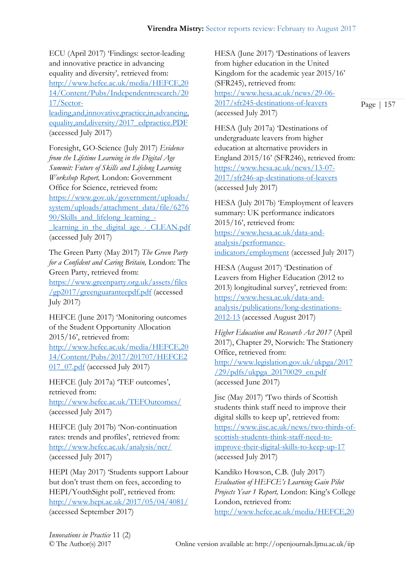ECU (April 2017) 'Findings: sector-leading and innovative practice in advancing equality and diversity'*,* retrieved from: [http://www.hefce.ac.uk/media/HEFCE,20](http://www.hefce.ac.uk/media/HEFCE,2014/Content/Pubs/Independentresearch/2017/Sector-leading,and,innovative,practice,in,advancing,equality,and,diversity/2017_edpractice.PDF) [14/Content/Pubs/Independentresearch/20](http://www.hefce.ac.uk/media/HEFCE,2014/Content/Pubs/Independentresearch/2017/Sector-leading,and,innovative,practice,in,advancing,equality,and,diversity/2017_edpractice.PDF) [17/Sector](http://www.hefce.ac.uk/media/HEFCE,2014/Content/Pubs/Independentresearch/2017/Sector-leading,and,innovative,practice,in,advancing,equality,and,diversity/2017_edpractice.PDF)[leading,and,innovative,practice,in,advancing,](http://www.hefce.ac.uk/media/HEFCE,2014/Content/Pubs/Independentresearch/2017/Sector-leading,and,innovative,practice,in,advancing,equality,and,diversity/2017_edpractice.PDF) [equality,and,diversity/2017\\_edpractice.PDF](http://www.hefce.ac.uk/media/HEFCE,2014/Content/Pubs/Independentresearch/2017/Sector-leading,and,innovative,practice,in,advancing,equality,and,diversity/2017_edpractice.PDF) (accessed July 2017)

Foresight, GO-Science (July 2017) *Evidence from the Lifetime Learning in the Digital Age Summit: Future of Skills and Lifelong Learning Workshop Report,* London: Government Office for Science, retrieved from: [https://www.gov.uk/government/uploads/](https://www.gov.uk/government/uploads/system/uploads/attachment_data/file/627690/Skills_and_lifelong_learning_-_learning_in_the_digital_age_-_CLEAN.pdf) [system/uploads/attachment\\_data/file/6276](https://www.gov.uk/government/uploads/system/uploads/attachment_data/file/627690/Skills_and_lifelong_learning_-_learning_in_the_digital_age_-_CLEAN.pdf) [90/Skills\\_and\\_lifelong\\_learning\\_](https://www.gov.uk/government/uploads/system/uploads/attachment_data/file/627690/Skills_and_lifelong_learning_-_learning_in_the_digital_age_-_CLEAN.pdf) learning in the digital age - CLEAN.pdf (accessed July 2017)

The Green Party (May 2017) *The Green Party for a Confident and Caring Britain,* London: The Green Party, retrieved from: [https://www.greenparty.org.uk/assets/files](https://www.greenparty.org.uk/assets/files/gp2017/greenguaranteepdf.pdf) [/gp2017/greenguaranteepdf.pdf](https://www.greenparty.org.uk/assets/files/gp2017/greenguaranteepdf.pdf) (accessed July 2017)

HEFCE (June 2017) 'Monitoring outcomes of the Student Opportunity Allocation 2015/16', retrieved from: [http://www.hefce.ac.uk/media/HEFCE,20](http://www.hefce.ac.uk/media/HEFCE,2014/Content/Pubs/2017/201707/HEFCE2017_07.pdf) [14/Content/Pubs/2017/201707/HEFCE2](http://www.hefce.ac.uk/media/HEFCE,2014/Content/Pubs/2017/201707/HEFCE2017_07.pdf) [017\\_07.pdf](http://www.hefce.ac.uk/media/HEFCE,2014/Content/Pubs/2017/201707/HEFCE2017_07.pdf) (accessed July 2017)

HEFCE (July 2017a) 'TEF outcomes', retrieved from: <http://www.hefce.ac.uk/TEFOutcomes/> (accessed July 2017)

HEFCE (July 2017b) 'Non-continuation rates: trends and profiles', retrieved from: <http://www.hefce.ac.uk/analysis/ncr/> (accessed July 2017)

HEPI (May 2017) 'Students support Labour but don't trust them on fees, according to HEPI/YouthSight poll', retrieved from: <http://www.hepi.ac.uk/2017/05/04/4081/> (accessed September 2017)

HESA (June 2017) 'Destinations of leavers from higher education in the United Kingdom for the academic year 2015/16' (SFR245), retrieved from: [https://www.hesa.ac.uk/news/29-06-](https://www.hesa.ac.uk/news/29-06-2017/sfr245-destinations-of-leavers) [2017/sfr245-destinations-of-leavers](https://www.hesa.ac.uk/news/29-06-2017/sfr245-destinations-of-leavers) (accessed July 2017)

Page | 157

HESA (July 2017a) 'Destinations of undergraduate leavers from higher education at alternative providers in England 2015/16' (SFR246), retrieved from: [https://www.hesa.ac.uk/news/13-07-](https://www.hesa.ac.uk/news/13-07-2017/sfr246-ap-destinations-of-leavers) [2017/sfr246-ap-destinations-of-leavers](https://www.hesa.ac.uk/news/13-07-2017/sfr246-ap-destinations-of-leavers) (accessed July 2017)

HESA (July 2017b) 'Employment of leavers summary: UK performance indicators 2015/16', retrieved from: [https://www.hesa.ac.uk/data-and](https://www.hesa.ac.uk/data-and-analysis/performance-indicators/employment)[analysis/performance](https://www.hesa.ac.uk/data-and-analysis/performance-indicators/employment)[indicators/employment](https://www.hesa.ac.uk/data-and-analysis/performance-indicators/employment) (accessed July 2017)

HESA (August 2017) 'Destination of Leavers from Higher Education (2012 to 2013) longitudinal survey', retrieved from: [https://www.hesa.ac.uk/data-and](https://www.hesa.ac.uk/data-and-analysis/publications/long-destinations-2012-13)[analysis/publications/long-destinations-](https://www.hesa.ac.uk/data-and-analysis/publications/long-destinations-2012-13)[2012-13](https://www.hesa.ac.uk/data-and-analysis/publications/long-destinations-2012-13) (accessed August 2017)

*Higher Education and Research Act 2017* (April 2017), Chapter 29, Norwich: The Stationery Office, retrieved from: [http://www.legislation.gov.uk/ukpga/2017](http://www.legislation.gov.uk/ukpga/2017/29/pdfs/ukpga_20170029_en.pdf) [/29/pdfs/ukpga\\_20170029\\_en.pdf](http://www.legislation.gov.uk/ukpga/2017/29/pdfs/ukpga_20170029_en.pdf) (accessed June 2017)

Jisc (May 2017) 'Two thirds of Scottish students think staff need to improve their digital skills to keep up', retrieved from: [https://www.jisc.ac.uk/news/two-thirds-of](https://www.jisc.ac.uk/news/two-thirds-of-scottish-students-think-staff-need-to-improve-their-digital-skills-to-keep-up-17)[scottish-students-think-staff-need-to](https://www.jisc.ac.uk/news/two-thirds-of-scottish-students-think-staff-need-to-improve-their-digital-skills-to-keep-up-17)[improve-their-digital-skills-to-keep-up-17](https://www.jisc.ac.uk/news/two-thirds-of-scottish-students-think-staff-need-to-improve-their-digital-skills-to-keep-up-17) (accessed July 2017)

Kandiko Howson, C.B. (July 2017) *Evaluation of HEFCE's Learning Gain Pilot Projects Year 1 Report,* London: King's College London, retrieved from: [http://www.hefce.ac.uk/media/HEFCE,20](http://www.hefce.ac.uk/media/HEFCE,2014/Content/Pubs/Independentresearch/2017/Evaluation,of,HEFCEs,Learning,Gain,Pilot,Projects,Year,1,Report/2017_lgeval.pdf)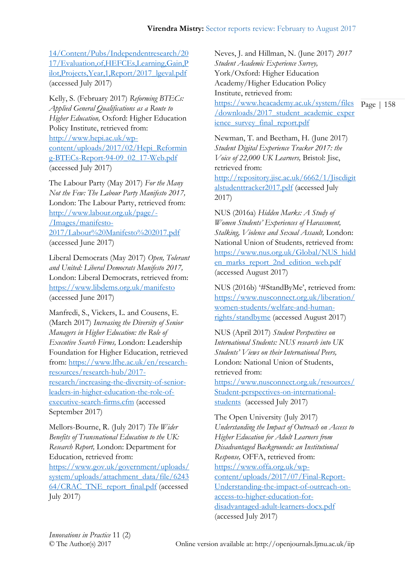[14/Content/Pubs/Independentresearch/20](http://www.hefce.ac.uk/media/HEFCE,2014/Content/Pubs/Independentresearch/2017/Evaluation,of,HEFCEs,Learning,Gain,Pilot,Projects,Year,1,Report/2017_lgeval.pdf) [17/Evaluation,of,HEFCEs,Learning,Gain,P](http://www.hefce.ac.uk/media/HEFCE,2014/Content/Pubs/Independentresearch/2017/Evaluation,of,HEFCEs,Learning,Gain,Pilot,Projects,Year,1,Report/2017_lgeval.pdf) [ilot,Projects,Year,1,Report/2017\\_lgeval.pdf](http://www.hefce.ac.uk/media/HEFCE,2014/Content/Pubs/Independentresearch/2017/Evaluation,of,HEFCEs,Learning,Gain,Pilot,Projects,Year,1,Report/2017_lgeval.pdf) (accessed July 2017)

Kelly, S. (February 2017) *Reforming BTECs: Applied General Qualifications as a Route to Higher Education,* Oxford: Higher Education Policy Institute, retrieved from: [http://www.hepi.ac.uk/wp](http://www.hepi.ac.uk/wp-content/uploads/2017/02/Hepi_Reforming-BTECs-Report-94-09_02_17-Web.pdf)[content/uploads/2017/02/Hepi\\_Reformin](http://www.hepi.ac.uk/wp-content/uploads/2017/02/Hepi_Reforming-BTECs-Report-94-09_02_17-Web.pdf) [g-BTECs-Report-94-09\\_02\\_17-Web.pdf](http://www.hepi.ac.uk/wp-content/uploads/2017/02/Hepi_Reforming-BTECs-Report-94-09_02_17-Web.pdf) (accessed July 2017)

The Labour Party (May 2017) *For the Many Not the Few: The Labour Party Manifesto 2017,*  London: The Labour Party, retrieved from: [http://www.labour.org.uk/page/-](http://www.labour.org.uk/page/-/Images/manifesto-2017/Labour%20Manifesto%202017.pdf) [/Images/manifesto-](http://www.labour.org.uk/page/-/Images/manifesto-2017/Labour%20Manifesto%202017.pdf)[2017/Labour%20Manifesto%202017.pdf](http://www.labour.org.uk/page/-/Images/manifesto-2017/Labour%20Manifesto%202017.pdf) (accessed June 2017)

Liberal Democrats (May 2017) *Open, Tolerant and United: Liberal Democrats Manifesto 2017,*  London: Liberal Democrats, retrieved from: <https://www.libdems.org.uk/manifesto> (accessed June 2017)

Manfredi, S., Vickers, L. and Cousens, E. (March 2017) *Increasing the Diversity of Senior Managers in Higher Education: the Role of Executive Search Firms,* London: Leadership Foundation for Higher Education, retrieved from: [https://www.lfhe.ac.uk/en/research](https://www.lfhe.ac.uk/en/research-resources/research-hub/2017-research/increasing-the-diversity-of-senior-leaders-in-higher-education-the-role-of-executive-search-firms.cfm)[resources/research-hub/2017](https://www.lfhe.ac.uk/en/research-resources/research-hub/2017-research/increasing-the-diversity-of-senior-leaders-in-higher-education-the-role-of-executive-search-firms.cfm) [research/increasing-the-diversity-of-senior](https://www.lfhe.ac.uk/en/research-resources/research-hub/2017-research/increasing-the-diversity-of-senior-leaders-in-higher-education-the-role-of-executive-search-firms.cfm)[leaders-in-higher-education-the-role-of](https://www.lfhe.ac.uk/en/research-resources/research-hub/2017-research/increasing-the-diversity-of-senior-leaders-in-higher-education-the-role-of-executive-search-firms.cfm)[executive-search-firms.cfm](https://www.lfhe.ac.uk/en/research-resources/research-hub/2017-research/increasing-the-diversity-of-senior-leaders-in-higher-education-the-role-of-executive-search-firms.cfm) (accessed September 2017)

Mellors-Bourne, R. (July 2017) *The Wider Benefits of Transnational Education to the UK: Research Report,* London: Department for Education, retrieved from:

[https://www.gov.uk/government/uploads/](https://www.gov.uk/government/uploads/system/uploads/attachment_data/file/624364/CRAC_TNE_report_final.pdf) [system/uploads/attachment\\_data/file/6243](https://www.gov.uk/government/uploads/system/uploads/attachment_data/file/624364/CRAC_TNE_report_final.pdf) [64/CRAC\\_TNE\\_report\\_final.pdf](https://www.gov.uk/government/uploads/system/uploads/attachment_data/file/624364/CRAC_TNE_report_final.pdf) (accessed July 2017)

[https://www.heacademy.ac.uk/system/files](https://www.heacademy.ac.uk/system/files/downloads/2017_student_academic_experience_survey_final_report.pdf) Page | 158 Neves, J. and Hillman, N. (June 2017) *2017 Student Academic Experience Survey,*  York/Oxford: Higher Education Academy/Higher Education Policy Institute, retrieved from:

[/downloads/2017\\_student\\_academic\\_exper](https://www.heacademy.ac.uk/system/files/downloads/2017_student_academic_experience_survey_final_report.pdf) ience survey final report.pdf

Newman, T. and Beetham, H. (June 2017) *Student Digital Experience Tracker 2017: the Voice of 22,000 UK Learners,* Bristol: Jisc, retrieved from:

[http://repository.jisc.ac.uk/6662/1/Jiscdigit](http://repository.jisc.ac.uk/6662/1/Jiscdigitalstudenttracker2017.pdf) [alstudenttracker2017.pdf](http://repository.jisc.ac.uk/6662/1/Jiscdigitalstudenttracker2017.pdf) (accessed July 2017)

NUS (2016a) *Hidden Marks: A Study of Women Students' Experiences of Harassment, Stalking, Violence and Sexual Assault,* London: National Union of Students, retrieved from: [https://www.nus.org.uk/Global/NUS\\_hidd](https://www.nus.org.uk/Global/NUS_hidden_marks_report_2nd_edition_web.pdf) [en\\_marks\\_report\\_2nd\\_edition\\_web.pdf](https://www.nus.org.uk/Global/NUS_hidden_marks_report_2nd_edition_web.pdf) (accessed August 2017)

NUS (2016b) '#StandByMe', retrieved from: [https://www.nusconnect.org.uk/liberation/](https://www.nusconnect.org.uk/liberation/women-students/welfare-and-human-rights/standbyme) [women-students/welfare-and-human](https://www.nusconnect.org.uk/liberation/women-students/welfare-and-human-rights/standbyme)[rights/standbyme](https://www.nusconnect.org.uk/liberation/women-students/welfare-and-human-rights/standbyme) (accessed August 2017)

NUS (April 2017) *Student Perspectives on International Students: NUS research into UK Students' Views on their International Peers,*  London: National Union of Students, retrieved from:

[https://www.nusconnect.org.uk/resources/](https://www.nusconnect.org.uk/resources/Student-perspectives-on-international-students) [Student-perspectives-on-international](https://www.nusconnect.org.uk/resources/Student-perspectives-on-international-students)[students](https://www.nusconnect.org.uk/resources/Student-perspectives-on-international-students) (accessed July 2017)

The Open University (July 2017) *Understanding the Impact of Outreach on Access to Higher Education for Adult Learners from Disadvantaged Backgrounds: an Institutional Response,* OFFA, retrieved from: [https://www.offa.org.uk/wp](https://www.offa.org.uk/wp-content/uploads/2017/07/Final-Report-Understanding-the-impact-of-outreach-on-access-to-higher-education-for-disadvantaged-adult-learners-docx.pdf)[content/uploads/2017/07/Final-Report-](https://www.offa.org.uk/wp-content/uploads/2017/07/Final-Report-Understanding-the-impact-of-outreach-on-access-to-higher-education-for-disadvantaged-adult-learners-docx.pdf)[Understanding-the-impact-of-outreach-on](https://www.offa.org.uk/wp-content/uploads/2017/07/Final-Report-Understanding-the-impact-of-outreach-on-access-to-higher-education-for-disadvantaged-adult-learners-docx.pdf)[access-to-higher-education-for](https://www.offa.org.uk/wp-content/uploads/2017/07/Final-Report-Understanding-the-impact-of-outreach-on-access-to-higher-education-for-disadvantaged-adult-learners-docx.pdf)[disadvantaged-adult-learners-docx.pdf](https://www.offa.org.uk/wp-content/uploads/2017/07/Final-Report-Understanding-the-impact-of-outreach-on-access-to-higher-education-for-disadvantaged-adult-learners-docx.pdf) (accessed July 2017)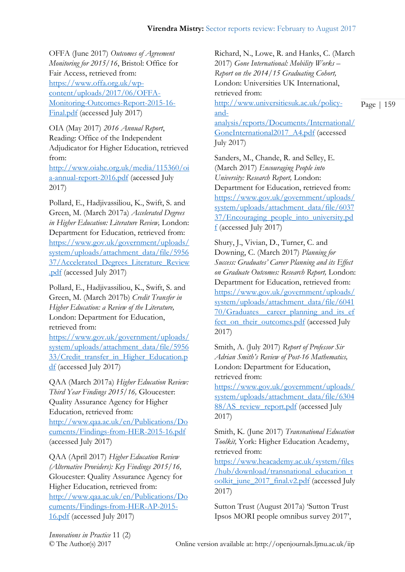OFFA (June 2017) *Outcomes of Agreement Monitoring for 2015/16*, Bristol: Office for Fair Access, retrieved from: [https://www.offa.org.uk/wp](https://www.offa.org.uk/wp-content/uploads/2017/06/OFFA-Monitoring-Outcomes-Report-2015-16-Final.pdf)[content/uploads/2017/06/OFFA-](https://www.offa.org.uk/wp-content/uploads/2017/06/OFFA-Monitoring-Outcomes-Report-2015-16-Final.pdf)[Monitoring-Outcomes-Report-2015-16-](https://www.offa.org.uk/wp-content/uploads/2017/06/OFFA-Monitoring-Outcomes-Report-2015-16-Final.pdf) [Final.pdf](https://www.offa.org.uk/wp-content/uploads/2017/06/OFFA-Monitoring-Outcomes-Report-2015-16-Final.pdf) (accessed July 2017)

OIA (May 2017) *2016 Annual Report*, Reading: Office of the Independent Adjudicator for Higher Education, retrieved from:

[http://www.oiahe.org.uk/media/115360/oi](http://www.oiahe.org.uk/media/115360/oia-annual-report-2016.pdf) [a-annual-report-2016.pdf](http://www.oiahe.org.uk/media/115360/oia-annual-report-2016.pdf) (accessed July 2017)

Pollard, E., Hadjivassiliou, K., Swift, S. and Green, M. (March 2017a) *Accelerated Degrees in Higher Education: Literature Review,* London: Department for Education, retrieved from: [https://www.gov.uk/government/uploads/](https://www.gov.uk/government/uploads/system/uploads/attachment_data/file/595637/Accelerated_Degrees_Literature_Review.pdf) [system/uploads/attachment\\_data/file/5956](https://www.gov.uk/government/uploads/system/uploads/attachment_data/file/595637/Accelerated_Degrees_Literature_Review.pdf) [37/Accelerated\\_Degrees\\_Literature\\_Review](https://www.gov.uk/government/uploads/system/uploads/attachment_data/file/595637/Accelerated_Degrees_Literature_Review.pdf) [.pdf](https://www.gov.uk/government/uploads/system/uploads/attachment_data/file/595637/Accelerated_Degrees_Literature_Review.pdf) (accessed July 2017)

Pollard, E., Hadjivassiliou, K., Swift, S. and Green, M. (March 2017b) *Credit Transfer in Higher Education: a Review of the Literature,*  London: Department for Education, retrieved from:

[https://www.gov.uk/government/uploads/](https://www.gov.uk/government/uploads/system/uploads/attachment_data/file/595633/Credit_transfer_in_Higher_Education.pdf) [system/uploads/attachment\\_data/file/5956](https://www.gov.uk/government/uploads/system/uploads/attachment_data/file/595633/Credit_transfer_in_Higher_Education.pdf) [33/Credit\\_transfer\\_in\\_Higher\\_Education.p](https://www.gov.uk/government/uploads/system/uploads/attachment_data/file/595633/Credit_transfer_in_Higher_Education.pdf) [df](https://www.gov.uk/government/uploads/system/uploads/attachment_data/file/595633/Credit_transfer_in_Higher_Education.pdf) (accessed July 2017)

QAA (March 2017a) *Higher Education Review: Third Year Findings 2015/16,* Gloucester: Quality Assurance Agency for Higher Education, retrieved from:

[http://www.qaa.ac.uk/en/Publications/Do](http://www.qaa.ac.uk/en/Publications/Documents/Findings-from-HER-2015-16.pdf) [cuments/Findings-from-HER-2015-16.pdf](http://www.qaa.ac.uk/en/Publications/Documents/Findings-from-HER-2015-16.pdf) (accessed July 2017)

QAA (April 2017) *Higher Education Review (Alternative Providers): Key Findings 2015/16,*  Gloucester: Quality Assurance Agency for Higher Education, retrieved from: [http://www.qaa.ac.uk/en/Publications/Do](http://www.qaa.ac.uk/en/Publications/Documents/Findings-from-HER-AP-2015-16.pdf) [cuments/Findings-from-HER-AP-2015-](http://www.qaa.ac.uk/en/Publications/Documents/Findings-from-HER-AP-2015-16.pdf) [16.pdf](http://www.qaa.ac.uk/en/Publications/Documents/Findings-from-HER-AP-2015-16.pdf) (accessed July 2017)

Richard, N., Lowe, R. and Hanks, C. (March 2017) *Gone International: Mobility Works – Report on the 2014/15 Graduating Cohort,*  London: Universities UK International, retrieved from: [http://www.universitiesuk.ac.uk/policy](http://www.universitiesuk.ac.uk/policy-and-analysis/reports/Documents/International/GoneInternational2017_A4.pdf)[and-](http://www.universitiesuk.ac.uk/policy-and-analysis/reports/Documents/International/GoneInternational2017_A4.pdf)

[analysis/reports/Documents/International/](http://www.universitiesuk.ac.uk/policy-and-analysis/reports/Documents/International/GoneInternational2017_A4.pdf) [GoneInternational2017\\_A4.pdf](http://www.universitiesuk.ac.uk/policy-and-analysis/reports/Documents/International/GoneInternational2017_A4.pdf) (accessed July 2017)

Sanders, M., Chande, R. and Selley, E. (March 2017) *Encouraging People into University: Research Report,* London: Department for Education, retrieved from: [https://www.gov.uk/government/uploads/](https://www.gov.uk/government/uploads/system/uploads/attachment_data/file/603737/Encouraging_people_into_university.pdf) [system/uploads/attachment\\_data/file/6037](https://www.gov.uk/government/uploads/system/uploads/attachment_data/file/603737/Encouraging_people_into_university.pdf) [37/Encouraging\\_people\\_into\\_university.pd](https://www.gov.uk/government/uploads/system/uploads/attachment_data/file/603737/Encouraging_people_into_university.pdf)  $f$  (accessed July 2017)

Shury, J., Vivian, D., Turner, C. and Downing, C. (March 2017) *Planning for Success: Graduates' Career Planning and its Effect on Graduate Outcomes: Research Report,* London: Department for Education, retrieved from: [https://www.gov.uk/government/uploads/](https://www.gov.uk/government/uploads/system/uploads/attachment_data/file/604170/Graduates__career_planning_and_its_effect_on_their_outcomes.pdf) [system/uploads/attachment\\_data/file/6041](https://www.gov.uk/government/uploads/system/uploads/attachment_data/file/604170/Graduates__career_planning_and_its_effect_on_their_outcomes.pdf) [70/Graduates\\_\\_career\\_planning\\_and\\_its\\_ef](https://www.gov.uk/government/uploads/system/uploads/attachment_data/file/604170/Graduates__career_planning_and_its_effect_on_their_outcomes.pdf) [fect\\_on\\_their\\_outcomes.pdf](https://www.gov.uk/government/uploads/system/uploads/attachment_data/file/604170/Graduates__career_planning_and_its_effect_on_their_outcomes.pdf) (accessed July 2017)

Smith, A. (July 2017) *Report of Professor Sir Adrian Smith's Review of Post-16 Mathematics,*  London: Department for Education, retrieved from:

[https://www.gov.uk/government/uploads/](https://www.gov.uk/government/uploads/system/uploads/attachment_data/file/630488/AS_review_report.pdf) [system/uploads/attachment\\_data/file/6304](https://www.gov.uk/government/uploads/system/uploads/attachment_data/file/630488/AS_review_report.pdf) [88/AS\\_review\\_report.pdf](https://www.gov.uk/government/uploads/system/uploads/attachment_data/file/630488/AS_review_report.pdf) (accessed July 2017)

Smith, K. (June 2017) *Transnational Education Toolkit,* York: Higher Education Academy, retrieved from:

[https://www.heacademy.ac.uk/system/files](https://www.heacademy.ac.uk/system/files/hub/download/transnational_education_toolkit_june_2017_final.v2.pdf) [/hub/download/transnational\\_education\\_t](https://www.heacademy.ac.uk/system/files/hub/download/transnational_education_toolkit_june_2017_final.v2.pdf) [oolkit\\_june\\_2017\\_final.v2.pdf](https://www.heacademy.ac.uk/system/files/hub/download/transnational_education_toolkit_june_2017_final.v2.pdf) (accessed July 2017)

Sutton Trust (August 2017a) 'Sutton Trust Ipsos MORI people omnibus survey 2017',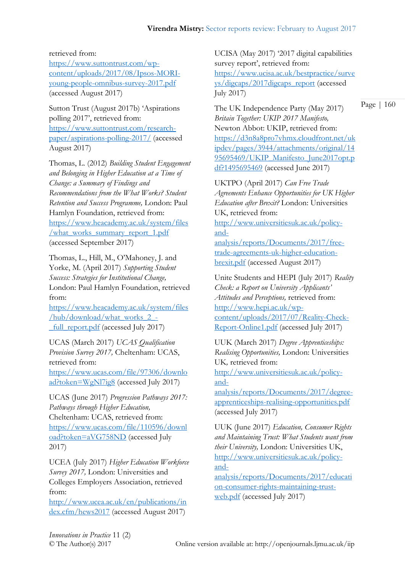## retrieved from:

[https://www.suttontrust.com/wp](https://www.suttontrust.com/wp-content/uploads/2017/08/Ipsos-MORI-young-people-omnibus-survey-2017.pdf)[content/uploads/2017/08/Ipsos-MORI](https://www.suttontrust.com/wp-content/uploads/2017/08/Ipsos-MORI-young-people-omnibus-survey-2017.pdf)[young-people-omnibus-survey-2017.pdf](https://www.suttontrust.com/wp-content/uploads/2017/08/Ipsos-MORI-young-people-omnibus-survey-2017.pdf) (accessed August 2017)

Sutton Trust (August 2017b) 'Aspirations polling 2017', retrieved from: [https://www.suttontrust.com/research](https://www.suttontrust.com/research-paper/aspirations-polling-2017/)[paper/aspirations-polling-2017/](https://www.suttontrust.com/research-paper/aspirations-polling-2017/) (accessed August 2017)

Thomas, L. (2012) *Building Student Engagement and Belonging in Higher Education at a Time of Change: a Summary of Findings and Recommendations from the What Works? Student Retention and Success Programme,* London: Paul Hamlyn Foundation, retrieved from: [https://www.heacademy.ac.uk/system/files](https://www.heacademy.ac.uk/system/files/what_works_summary_report_1.pdf) [/what\\_works\\_summary\\_report\\_1.pdf](https://www.heacademy.ac.uk/system/files/what_works_summary_report_1.pdf) (accessed September 2017)

Thomas, L., Hill, M., O'Mahoney, J. and Yorke, M. (April 2017) *Supporting Student Success: Strategies for Institutional Change,*  London: Paul Hamlyn Foundation, retrieved from:

[https://www.heacademy.ac.uk/system/files](https://www.heacademy.ac.uk/system/files/hub/download/what_works_2_-_full_report.pdf) [/hub/download/what\\_works\\_2\\_-](https://www.heacademy.ac.uk/system/files/hub/download/what_works_2_-_full_report.pdf) [\\_full\\_report.pdf](https://www.heacademy.ac.uk/system/files/hub/download/what_works_2_-_full_report.pdf) (accessed July 2017)

UCAS (March 2017) *UCAS Qualification Provision Survey 2017,* Cheltenham: UCAS, retrieved from:

[https://www.ucas.com/file/97306/downlo](https://www.ucas.com/file/97306/download?token=WgNl7ig8) [ad?token=WgNl7ig8](https://www.ucas.com/file/97306/download?token=WgNl7ig8) (accessed July 2017)

UCAS (June 2017) *Progression Pathways 2017: Pathways through Higher Education,*  Cheltenham: UCAS, retrieved from: [https://www.ucas.com/file/110596/downl](https://www.ucas.com/file/110596/download?token=aVG758ND) [oad?token=aVG758ND](https://www.ucas.com/file/110596/download?token=aVG758ND) (accessed July 2017)

UCEA (July 2017) *Higher Education Workforce Survey 2017,* London: Universities and Colleges Employers Association, retrieved from:

[http://www.ucea.ac.uk/en/publications/in](http://www.ucea.ac.uk/en/publications/index.cfm/hews2017) [dex.cfm/hews2017](http://www.ucea.ac.uk/en/publications/index.cfm/hews2017) (accessed August 2017)

UCISA (May 2017) '2017 digital capabilities survey report', retrieved from: [https://www.ucisa.ac.uk/bestpractice/surve](https://www.ucisa.ac.uk/bestpractice/surveys/digcaps/2017digcaps_report) [ys/digcaps/2017digcaps\\_report](https://www.ucisa.ac.uk/bestpractice/surveys/digcaps/2017digcaps_report) (accessed July 2017)

The UK Independence Party (May 2017) *Britain Together: UKIP 2017 Manifesto,*  Newton Abbot: UKIP, retrieved from: [https://d3n8a8pro7vhmx.cloudfront.net/uk](https://d3n8a8pro7vhmx.cloudfront.net/ukipdev/pages/3944/attachments/original/1495695469/UKIP_Manifesto_June2017opt.pdf?1495695469) [ipdev/pages/3944/attachments/original/14](https://d3n8a8pro7vhmx.cloudfront.net/ukipdev/pages/3944/attachments/original/1495695469/UKIP_Manifesto_June2017opt.pdf?1495695469) [95695469/UKIP\\_Manifesto\\_June2017opt.p](https://d3n8a8pro7vhmx.cloudfront.net/ukipdev/pages/3944/attachments/original/1495695469/UKIP_Manifesto_June2017opt.pdf?1495695469) [df?1495695469](https://d3n8a8pro7vhmx.cloudfront.net/ukipdev/pages/3944/attachments/original/1495695469/UKIP_Manifesto_June2017opt.pdf?1495695469) (accessed June 2017)

UKTPO (April 2017) *Can Free Trade Agreements Enhance Opportunities for UK Higher Education after Brexit?* London: Universities UK, retrieved from: [http://www.universitiesuk.ac.uk/policy](http://www.universitiesuk.ac.uk/policy-and-analysis/reports/Documents/2017/free-trade-agreements-uk-higher-education-brexit.pdf)[and](http://www.universitiesuk.ac.uk/policy-and-analysis/reports/Documents/2017/free-trade-agreements-uk-higher-education-brexit.pdf)[analysis/reports/Documents/2017/free](http://www.universitiesuk.ac.uk/policy-and-analysis/reports/Documents/2017/free-trade-agreements-uk-higher-education-brexit.pdf)[trade-agreements-uk-higher-education](http://www.universitiesuk.ac.uk/policy-and-analysis/reports/Documents/2017/free-trade-agreements-uk-higher-education-brexit.pdf)[brexit.pdf](http://www.universitiesuk.ac.uk/policy-and-analysis/reports/Documents/2017/free-trade-agreements-uk-higher-education-brexit.pdf) (accessed August 2017)

Unite Students and HEPI (July 2017) *Reality Check: a Report on University Applicants' Attitudes and Perceptions,* retrieved from: [http://www.hepi.ac.uk/wp](http://www.hepi.ac.uk/wp-content/uploads/2017/07/Reality-Check-Report-Online1.pdf)[content/uploads/2017/07/Reality-Check-](http://www.hepi.ac.uk/wp-content/uploads/2017/07/Reality-Check-Report-Online1.pdf)[Report-Online1.pdf](http://www.hepi.ac.uk/wp-content/uploads/2017/07/Reality-Check-Report-Online1.pdf) (accessed July 2017)

UUK (March 2017) *Degree Apprenticeships: Realising Opportunities,* London: Universities UK*,* retrieved from:

[http://www.universitiesuk.ac.uk/policy](http://www.universitiesuk.ac.uk/policy-and-analysis/reports/Documents/2017/degree-apprenticeships-realising-opportunities.pdf)[and-](http://www.universitiesuk.ac.uk/policy-and-analysis/reports/Documents/2017/degree-apprenticeships-realising-opportunities.pdf)

[analysis/reports/Documents/2017/degree](http://www.universitiesuk.ac.uk/policy-and-analysis/reports/Documents/2017/degree-apprenticeships-realising-opportunities.pdf)[apprenticeships-realising-opportunities.pdf](http://www.universitiesuk.ac.uk/policy-and-analysis/reports/Documents/2017/degree-apprenticeships-realising-opportunities.pdf) (accessed July 2017)

UUK (June 2017) *Education, Consumer Rights and Maintaining Trust: What Students want from their University,* London: Universities UK, [http://www.universitiesuk.ac.uk/policy](http://www.universitiesuk.ac.uk/policy-and-analysis/reports/Documents/2017/education-consumer-rights-maintaining-trust-web.pdf)[and-](http://www.universitiesuk.ac.uk/policy-and-analysis/reports/Documents/2017/education-consumer-rights-maintaining-trust-web.pdf)

[analysis/reports/Documents/2017/educati](http://www.universitiesuk.ac.uk/policy-and-analysis/reports/Documents/2017/education-consumer-rights-maintaining-trust-web.pdf) [on-consumer-rights-maintaining-trust](http://www.universitiesuk.ac.uk/policy-and-analysis/reports/Documents/2017/education-consumer-rights-maintaining-trust-web.pdf)[web.pdf](http://www.universitiesuk.ac.uk/policy-and-analysis/reports/Documents/2017/education-consumer-rights-maintaining-trust-web.pdf) (accessed July 2017)